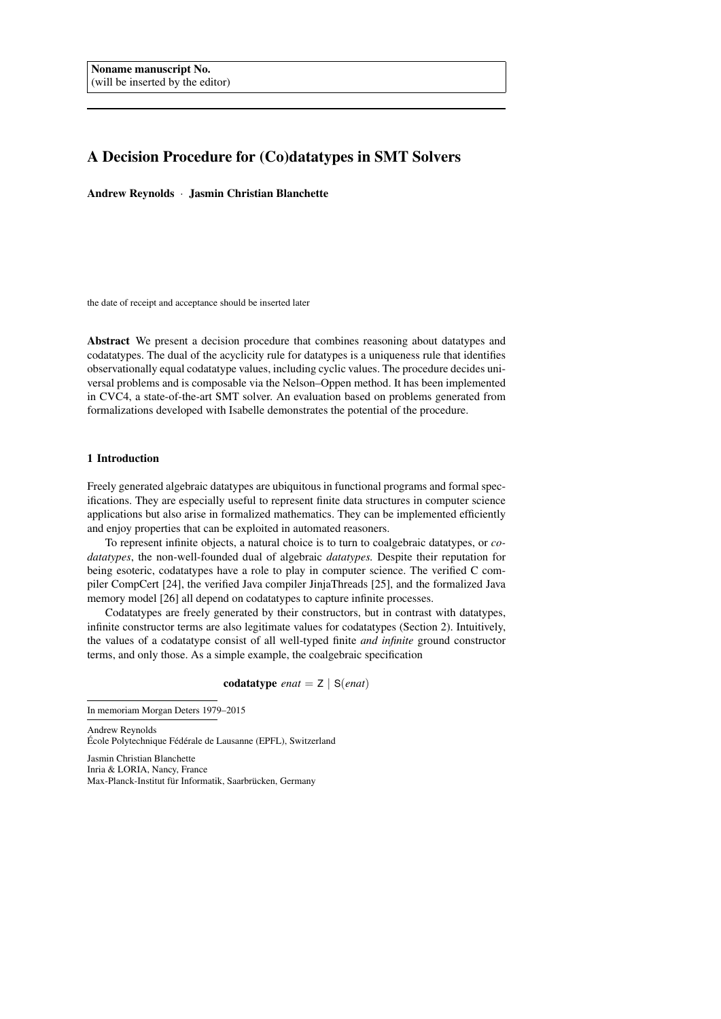# A Decision Procedure for (Co)datatypes in SMT Solvers

Andrew Reynolds · Jasmin Christian Blanchette

the date of receipt and acceptance should be inserted later

Abstract We present a decision procedure that combines reasoning about datatypes and codatatypes. The dual of the acyclicity rule for datatypes is a uniqueness rule that identifies observationally equal codatatype values, including cyclic values. The procedure decides universal problems and is composable via the Nelson–Oppen method. It has been implemented in CVC4, a state-of-the-art SMT solver. An evaluation based on problems generated from formalizations developed with Isabelle demonstrates the potential of the procedure.

## <span id="page-0-0"></span>1 Introduction

Freely generated algebraic datatypes are ubiquitous in functional programs and formal specifications. They are especially useful to represent finite data structures in computer science applications but also arise in formalized mathematics. They can be implemented efficiently and enjoy properties that can be exploited in automated reasoners.

To represent infinite objects, a natural choice is to turn to coalgebraic datatypes, or *codatatypes*, the non-well-founded dual of algebraic *datatypes.* Despite their reputation for being esoteric, codatatypes have a role to play in computer science. The verified C compiler CompCert [\[24\]](#page-20-0), the verified Java compiler JinjaThreads [\[25\]](#page-20-1), and the formalized Java memory model [\[26\]](#page-20-2) all depend on codatatypes to capture infinite processes.

Codatatypes are freely generated by their constructors, but in contrast with datatypes, infinite constructor terms are also legitimate values for codatatypes (Section [2\)](#page-2-0). Intuitively, the values of a codatatype consist of all well-typed finite *and infinite* ground constructor terms, and only those. As a simple example, the coalgebraic specification

codatatype *enat* = Z | S(*enat*)

Andrew Reynolds École Polytechnique Fédérale de Lausanne (EPFL), Switzerland

Jasmin Christian Blanchette Inria & LORIA, Nancy, France Max-Planck-Institut für Informatik, Saarbrücken, Germany

In memoriam Morgan Deters 1979–2015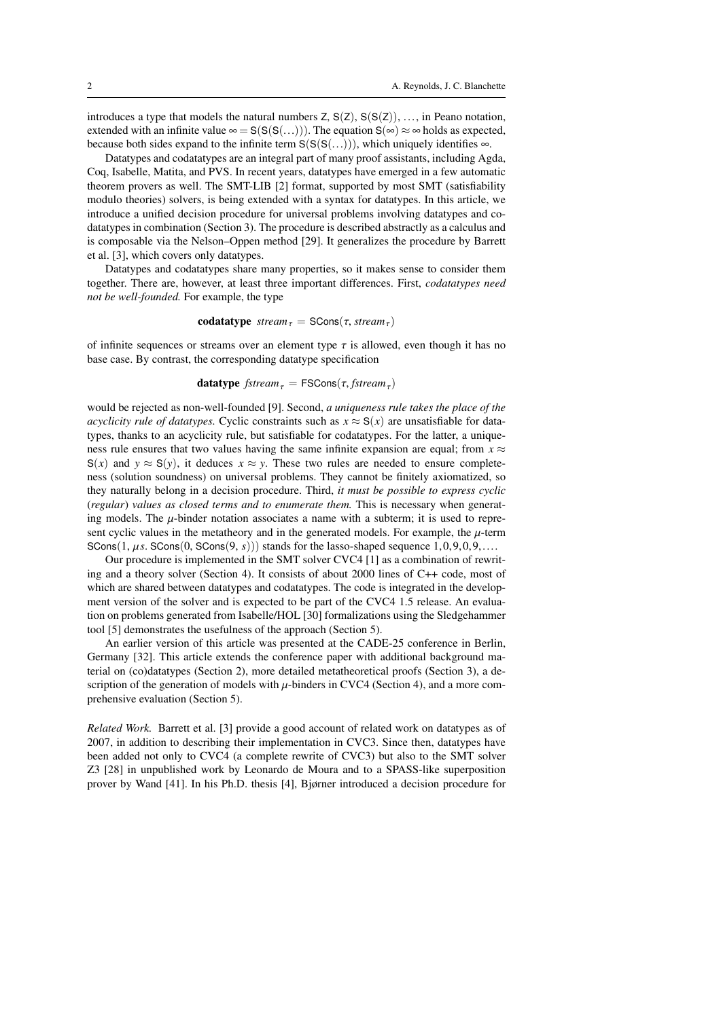introduces a type that models the natural numbers  $Z$ ,  $S(Z)$ ,  $S(S(Z))$ , ..., in Peano notation, extended with an infinite value  $\infty = S(S(S(...)))$ . The equation  $S(\infty) \approx \infty$  holds as expected, because both sides expand to the infinite term  $S(S(S(...)))$ , which uniquely identifies  $\infty$ .

Datatypes and codatatypes are an integral part of many proof assistants, including Agda, Coq, Isabelle, Matita, and PVS. In recent years, datatypes have emerged in a few automatic theorem provers as well. The SMT-LIB [\[2\]](#page-19-0) format, supported by most SMT (satisfiability modulo theories) solvers, is being extended with a syntax for datatypes. In this article, we introduce a unified decision procedure for universal problems involving datatypes and codatatypes in combination (Section [3\)](#page-5-0). The procedure is described abstractly as a calculus and is composable via the Nelson–Oppen method [\[29\]](#page-20-3). It generalizes the procedure by Barrett et al. [\[3\]](#page-19-1), which covers only datatypes.

Datatypes and codatatypes share many properties, so it makes sense to consider them together. There are, however, at least three important differences. First, *codatatypes need not be well-founded.* For example, the type

$$
codatative streamτ = SCons(τ, streamτ)
$$

of infinite sequences or streams over an element type  $\tau$  is allowed, even though it has no base case. By contrast, the corresponding datatype specification

**datatype** 
$$
fstream_{\tau} = FSCons(\tau, fstream_{\tau})
$$

would be rejected as non-well-founded [\[9\]](#page-20-4). Second, *a uniqueness rule takes the place of the acyclicity rule of datatypes.* Cyclic constraints such as  $x \approx S(x)$  are unsatisfiable for datatypes, thanks to an acyclicity rule, but satisfiable for codatatypes. For the latter, a uniqueness rule ensures that two values having the same infinite expansion are equal; from  $x \approx$ S(*x*) and  $y \approx S(y)$ , it deduces  $x \approx y$ . These two rules are needed to ensure completeness (solution soundness) on universal problems. They cannot be finitely axiomatized, so they naturally belong in a decision procedure. Third, *it must be possible to express cyclic* (*regular*) *values as closed terms and to enumerate them.* This is necessary when generating models. The  $\mu$ -binder notation associates a name with a subterm; it is used to represent cyclic values in the metatheory and in the generated models. For example, the  $\mu$ -term  $SCons(1, \mu s. SCons(0, SCons(9, s)))$  stands for the lasso-shaped sequence  $1, 0, 9, 0, 9, \ldots$ .

Our procedure is implemented in the SMT solver CVC4 [\[1\]](#page-19-2) as a combination of rewriting and a theory solver (Section [4\)](#page-14-0). It consists of about 2000 lines of C++ code, most of which are shared between datatypes and codatatypes. The code is integrated in the development version of the solver and is expected to be part of the CVC4 1.5 release. An evaluation on problems generated from Isabelle/HOL [\[30\]](#page-20-5) formalizations using the Sledgehammer tool [\[5\]](#page-19-3) demonstrates the usefulness of the approach (Section [5\)](#page-17-0).

An earlier version of this article was presented at the CADE-25 conference in Berlin, Germany [\[32\]](#page-20-6). This article extends the conference paper with additional background material on (co)datatypes (Section [2\)](#page-2-0), more detailed metatheoretical proofs (Section [3\)](#page-5-0), a description of the generation of models with  $\mu$ -binders in CVC4 (Section [4\)](#page-14-0), and a more comprehensive evaluation (Section [5\)](#page-17-0).

*Related Work.* Barrett et al. [\[3\]](#page-19-1) provide a good account of related work on datatypes as of 2007, in addition to describing their implementation in CVC3. Since then, datatypes have been added not only to CVC4 (a complete rewrite of CVC3) but also to the SMT solver Z3 [\[28\]](#page-20-7) in unpublished work by Leonardo de Moura and to a SPASS-like superposition prover by Wand [\[41\]](#page-21-0). In his Ph.D. thesis [\[4\]](#page-19-4), Bjørner introduced a decision procedure for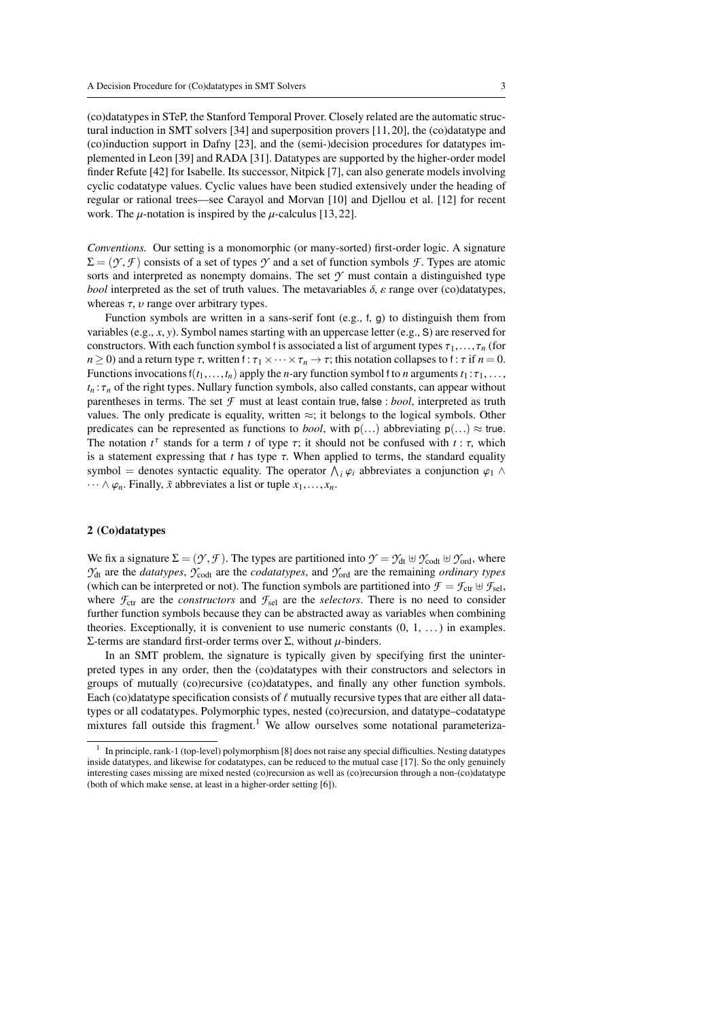(co)datatypes in STeP, the Stanford Temporal Prover. Closely related are the automatic structural induction in SMT solvers [\[34\]](#page-20-8) and superposition provers [\[11,](#page-20-9) [20\]](#page-20-10), the (co)datatype and (co)induction support in Dafny [\[23\]](#page-20-11), and the (semi-)decision procedures for datatypes implemented in Leon [\[39\]](#page-21-1) and RADA [\[31\]](#page-20-12). Datatypes are supported by the higher-order model finder Refute [\[42\]](#page-21-2) for Isabelle. Its successor, Nitpick [\[7\]](#page-20-13), can also generate models involving cyclic codatatype values. Cyclic values have been studied extensively under the heading of regular or rational trees—see Carayol and Morvan [\[10\]](#page-20-14) and Djellou et al. [\[12\]](#page-20-15) for recent work. The  $\mu$ -notation is inspired by the  $\mu$ -calculus [\[13,](#page-20-16) [22\]](#page-20-17).

*Conventions.* Our setting is a monomorphic (or many-sorted) first-order logic. A signature  $\Sigma = (\gamma, \mathcal{F})$  consists of a set of types  $\gamma$  and a set of function symbols  $\mathcal{F}$ . Types are atomic sorts and interpreted as nonempty domains. The set  $\mathcal Y$  must contain a distinguished type *bool* interpreted as the set of truth values. The metavariables  $\delta$ ,  $\varepsilon$  range over (co)datatypes, whereas  $\tau$ ,  $\upsilon$  range over arbitrary types.

Function symbols are written in a sans-serif font (e.g., <sup>f</sup>, <sup>g</sup>) to distinguish them from variables (e.g., *<sup>x</sup>*, *<sup>y</sup>*). Symbol names starting with an uppercase letter (e.g., <sup>S</sup>) are reserved for constructors. With each function symbol f is associated a list of argument types  $\tau_1, \ldots, \tau_n$  (for *n*  $\ge$  0) and a return type  $\tau$ , written f:  $\tau_1 \times \cdots \times \tau_n \to \tau$ ; this notation collapses to f:  $\tau$  if *n* = 0. Functions invocations  $f(t_1,...,t_n)$  apply the *n*-ary function symbol f to *n* arguments  $t_1 : \tau_1,...$ ,  $t_n$ :  $\tau_n$  of the right types. Nullary function symbols, also called constants, can appear without parentheses in terms. The set *<sup>F</sup>* must at least contain true, false : *bool*, interpreted as truth values. The only predicate is equality, written  $\approx$ ; it belongs to the logical symbols. Other predicates can be represented as functions to *bool*, with  $p(...)$  abbreviating  $p(...) \approx true$ . The notation  $t^{\tau}$  stands for a term *t* of type  $\tau$ ; it should not be confused with  $t : \tau$ , which is a statement expressing that *t* has type  $\tau$ . When applied to terms, the standard equality is a statement expressing that  $t$  has type  $\tau$ . When applied to terms, the standard equality symbol = denotes syntactic equality. The operator  $\bigwedge_i \varphi_i$  abbreviates a conjunction  $\varphi_1 \wedge \dots \wedge \varphi_n$ . Finally  $\bar{x}$  abbreviates a list or tuple  $x_i$ .  $\cdots \wedge \varphi_n$ . Finally,  $\bar{x}$  abbreviates a list or tuple  $x_1, \ldots, x_n$ .

#### <span id="page-2-0"></span>2 (Co)datatypes

We fix a signature  $\Sigma = (\mathcal{Y}, \mathcal{F})$ . The types are partitioned into  $\mathcal{Y} = \mathcal{Y}_{dt} \oplus \mathcal{Y}_{cot} \oplus \mathcal{Y}_{ord}$ , where  $Y_{\text{dt}}$  are the *datatypes*,  $Y_{\text{codt}}$  are the *codatatypes*, and  $Y_{\text{ord}}$  are the remaining *ordinary types* (which can be interpreted or not). The function symbols are partitioned into  $\mathcal{F} = \mathcal{F}_{ctr} \oplus \mathcal{F}_{sel}$ , where  $\mathcal{F}_{ctr}$  are the *constructors* and  $\mathcal{F}_{sel}$  are the *selectors*. There is no need to consider further function symbols because they can be abstracted away as variables when combining theories. Exceptionally, it is convenient to use numeric constants  $(0, 1, \ldots)$  in examples. Σ-terms are standard first-order terms over Σ, without  $\mu$ -binders.

In an SMT problem, the signature is typically given by specifying first the uninterpreted types in any order, then the (co)datatypes with their constructors and selectors in groups of mutually (co)recursive (co)datatypes, and finally any other function symbols. Each (co)datatype specification consists of  $\ell$  mutually recursive types that are either all datatypes or all codatatypes. Polymorphic types, nested (co)recursion, and datatype–codatatype mixtures fall outside this fragment.<sup>[1](#page-2-1)</sup> We allow ourselves some notational parameteriza-

<span id="page-2-1"></span><sup>&</sup>lt;sup>1</sup> In principle, rank-1 (top-level) polymorphism [\[8\]](#page-20-18) does not raise any special difficulties. Nesting datatypes inside datatypes, and likewise for codatatypes, can be reduced to the mutual case [\[17\]](#page-20-19). So the only genuinely interesting cases missing are mixed nested (co)recursion as well as (co)recursion through a non-(co)datatype (both of which make sense, at least in a higher-order setting [\[6\]](#page-19-5)).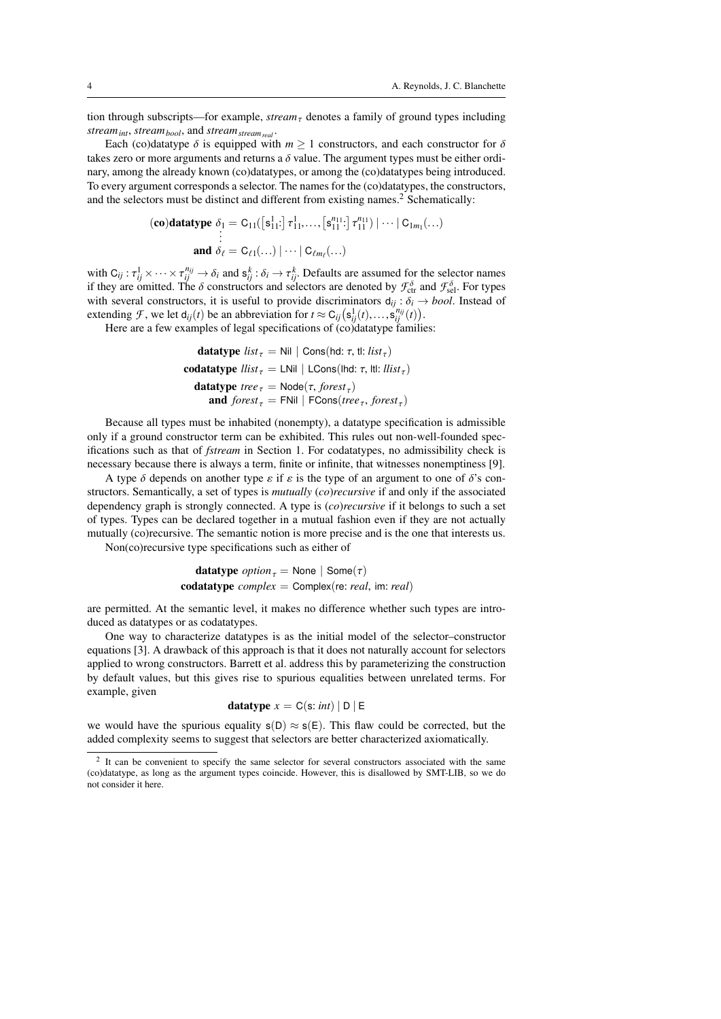tion through subscripts—for example, *stream*<sub> $\tau$ </sub> denotes a family of ground types including *streamint*, *streambool*, and *streamstreamreal* .

Each (co)datatype  $\delta$  is equipped with  $m \ge 1$  constructors, and each constructor for  $\delta$ takes zero or more arguments and returns a  $\delta$  value. The argument types must be either ordinary, among the already known (co)datatypes, or among the (co)datatypes being introduced. To every argument corresponds a selector. The names for the (co)datatypes, the constructors, and the selectors must be distinct and different from existing names.<sup>[2](#page-3-0)</sup> Schematically:

$$
\begin{aligned}\n\textbf{(co)} \textbf{datatype} \ \delta_1 &= C_{11}(\left[\mathbf{s}_{11}^1\cdot\right] \tau_{11}^1, \dots, \left[\mathbf{s}_{11}^{n_{11}}\cdot\right] \tau_{11}^{n_{11}}) \mid \dots \mid C_{1m_1}(\dots) \\
&\vdots \\
\textbf{and} \ \delta_\ell &= C_{\ell 1}(\dots) \mid \dots \mid C_{\ell m_\ell}(\dots)\n\end{aligned}
$$

with  $C_{ij}: \tau_{ij}^1 \times \cdots \times \tau_{ij}^{n_{ij}} \to \delta_i$  and  $s_{ij}^k: \delta_i \to \tau_{ij}^k$ . Defaults are assumed for the selector names if they are omitted. The  $\delta$  constructors and selectors are denoted by  $\mathcal{F}^{\delta}$  and  $\mathcal{F}^{\delta}$ . For ty if they are omitted. The  $\delta$  constructors and selectors are denoted by  $\mathcal{F}_{\text{ct}}^{\delta}$  and  $\mathcal{F}_{\text{sel}}^{\delta}$ . For types<br>with several constructors, it is useful to provide discriminators  $d_{\text{ct}}$ ,  $\delta_{\text{ct}}$ ,  $\Delta$  hoal with several constructors, it is useful to provide discriminators  $d_{ij}$  :  $\delta_i \rightarrow bool$ . Instead of extending *F*, we let  $d_{ij}(t)$  be an abbreviation for  $t \approx C_{ij}(s_{ij}^1(t),...,s_{ij}^{n_{ij}}(t))$ <br>Here are a few examples of legal specifications of (co)datatype famili

Here are a few examples of legal specifications of (co)datatype families:

| datatype   | $list_{\tau} = Nil \mid Cons(hd: \tau, tl: list_{\tau})$      |
|------------|---------------------------------------------------------------|
| codatotype | $list_{\tau} = LNil \mid LCons(hd: \tau, lt: list_{\tau})$    |
| datatype   | $tree_{\tau} = Node(\tau, forest_{\tau})$                     |
| and        | $forest_{\tau} = FNil \mid FCons(tree_{\tau}, forest_{\tau})$ |

Because all types must be inhabited (nonempty), a datatype specification is admissible only if a ground constructor term can be exhibited. This rules out non-well-founded specifications such as that of *fstream* in Section [1.](#page-0-0) For codatatypes, no admissibility check is necessary because there is always a term, finite or infinite, that witnesses nonemptiness [\[9\]](#page-20-4).

A type  $\delta$  depends on another type  $\varepsilon$  if  $\varepsilon$  is the type of an argument to one of  $\delta$ 's constructors. Semantically, a set of types is *mutually* (*co*)*recursive* if and only if the associated dependency graph is strongly connected. A type is (*co*)*recursive* if it belongs to such a set of types. Types can be declared together in a mutual fashion even if they are not actually mutually (co)recursive. The semantic notion is more precise and is the one that interests us.

Non(co)recursive type specifications such as either of

**datatype** option<sub>τ</sub> = None | Some(
$$
\tau
$$
)  
**codatotype** complex = Complex(re: real, im: real)

are permitted. At the semantic level, it makes no difference whether such types are introduced as datatypes or as codatatypes.

One way to characterize datatypes is as the initial model of the selector–constructor equations [\[3\]](#page-19-1). A drawback of this approach is that it does not naturally account for selectors applied to wrong constructors. Barrett et al. address this by parameterizing the construction by default values, but this gives rise to spurious equalities between unrelated terms. For example, given

$$
datatype x = C(s: int) | D | E
$$

we would have the spurious equality  $s(D) \approx s(E)$ . This flaw could be corrected, but the added complexity seems to suggest that selectors are better characterized axiomatically.

<span id="page-3-0"></span><sup>&</sup>lt;sup>2</sup> It can be convenient to specify the same selector for several constructors associated with the same (co)datatype, as long as the argument types coincide. However, this is disallowed by SMT-LIB, so we do not consider it here.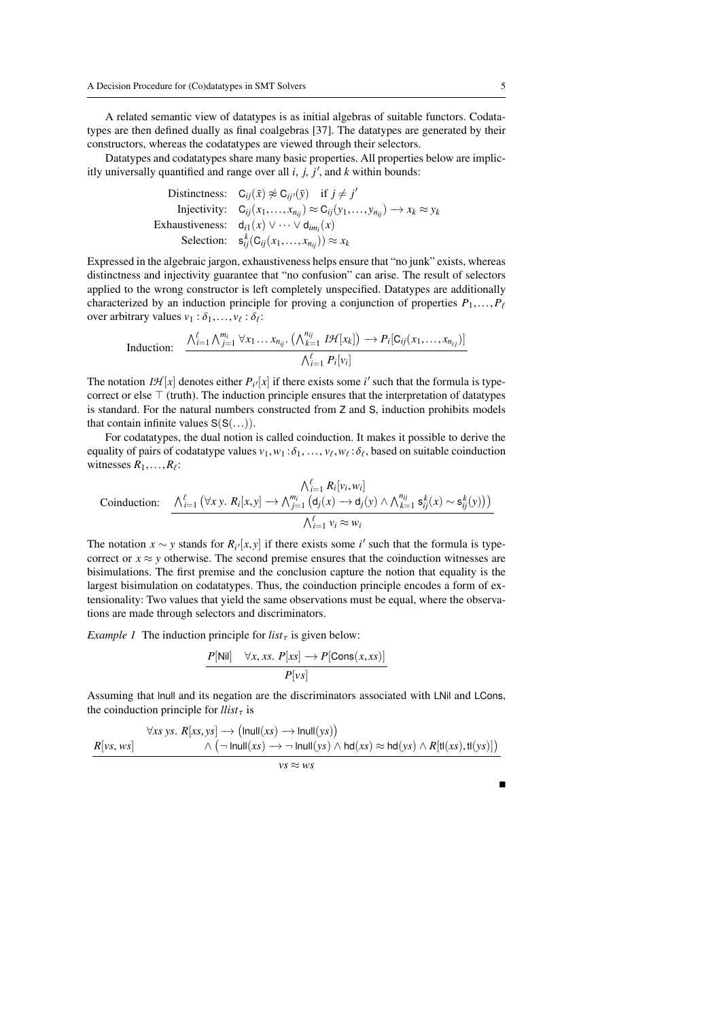A related semantic view of datatypes is as initial algebras of suitable functors. Codatatypes are then defined dually as final coalgebras [\[37\]](#page-20-20). The datatypes are generated by their constructors, whereas the codatatypes are viewed through their selectors.

Datatypes and codatatypes share many basic properties. All properties below are implicitly universally quantified and range over all  $i$ ,  $j$ ,  $j'$ , and  $k$  within bounds:

| Distinctness: $C_{ij}(\bar{x}) \not\approx C_{ij}(\bar{y})$ if $j \neq j'$                         |
|----------------------------------------------------------------------------------------------------|
| Injectivity: $C_{ij}(x_1,,x_{n_{ij}}) \approx C_{ij}(y_1,,y_{n_{ij}}) \rightarrow x_k \approx y_k$ |
| Exhaustiveness: $d_{i1}(x) \vee \cdots \vee d_{im_i}(x)$                                           |
| Selection: $s_{ij}^k(C_{ij}(x_1,,x_{n_{ij}})) \approx x_k$                                         |
|                                                                                                    |

Expressed in the algebraic jargon, exhaustiveness helps ensure that "no junk" exists, whereas distinctness and injectivity guarantee that "no confusion" can arise. The result of selectors applied to the wrong constructor is left completely unspecified. Datatypes are additionally characterized by an induction principle for proving a conjunction of properties  $P_1, \ldots, P_\ell$ over arbitrary values  $v_1 : \delta_1, \ldots, v_\ell : \delta_\ell$ :

Induction: 
$$
\frac{\bigwedge_{i=1}^{\ell} \bigwedge_{j=1}^{m_i} \forall x_1 \dots x_{n_{ij}} \cdot \big(\bigwedge_{k=1}^{n_{ij}} I \mathcal{H}[x_k]\big) \longrightarrow P_i[C_{ij}(x_1,\dots,x_{n_{ij}})]}{\bigwedge_{i=1}^{\ell} P_i[v_i]}
$$

The notation  $I\mathcal{H}[x]$  denotes either  $P_i/[x]$  if there exists some *i*' such that the formula is typecorrect or else  $\top$  (truth). The induction principle ensures that the interpretation of datatypes is standard. For the natural numbers constructed from <sup>Z</sup> and <sup>S</sup>, induction prohibits models that contain infinite values  $S(S(\ldots)).$ 

For codatatypes, the dual notion is called coinduction. It makes it possible to derive the equality of pairs of codatatype values  $v_1, w_1 : \delta_1, ..., v_\ell, w_\ell : \delta_\ell$ , based on suitable coinduction witnesses  $R_i$ . witnesses  $R_1, \ldots, R_\ell$ :

$$
\text{Coinduction:} \quad \frac{\bigwedge_{i=1}^{\ell} R_i[v_i, w_i]}{\bigwedge_{i=1}^{\ell} (\forall x y. R_i[x, y] \rightarrow \bigwedge_{j=1}^{m_i} (d_j(x) \rightarrow d_j(y) \land \bigwedge_{k=1}^{n_{ij}} s_{ij}^k(x) \sim s_{ij}^k(y))\big)}
$$
\n
$$
\frac{\bigwedge_{i=1}^{\ell} v_i \approx w_i}{\bigwedge_{i=1}^{\ell} v_i \approx w_i}
$$

The notation *x* ∼ *y* stands for  $R_i$ <sup>[</sup> $x$ , *y*] if there exists some *i*<sup> $'$ </sup> such that the formula is type-correct or *x* ≈ *y* otherwise. The second premise ensures that the coinduction witnesses are correct or  $x \approx y$  otherwise. The second premise ensures that the coinduction witnesses are bisimulations. The first premise and the conclusion capture the notion that equality is the largest bisimulation on codatatypes. Thus, the coinduction principle encodes a form of extensionality: Two values that yield the same observations must be equal, where the observations are made through selectors and discriminators.

*Example 1* The induction principle for  $list<sub>\tau</sub>$  is given below:

$$
\frac{P[\text{Nil}] \quad \forall x, xs. \ P[xs] \rightarrow P[\text{Cons}(x, xs)]}{P[vs]}
$$

Assuming that lnull and its negation are the discriminators associated with LNil and LCons, the coinduction principle for  $llist_{\tau}$  is

$$
\forall xs\; ys.\; R[xs, ys] \rightarrow (Inull(xs) \rightarrow Inull(sys))
$$
  

$$
\wedge (\neg Inull(xs) \rightarrow \neg Inull(sys) \wedge hd(xs) \approx hd(sys) \wedge R[tl(xs, tl(sys)]
$$

*vs* ≈ *ws*

Е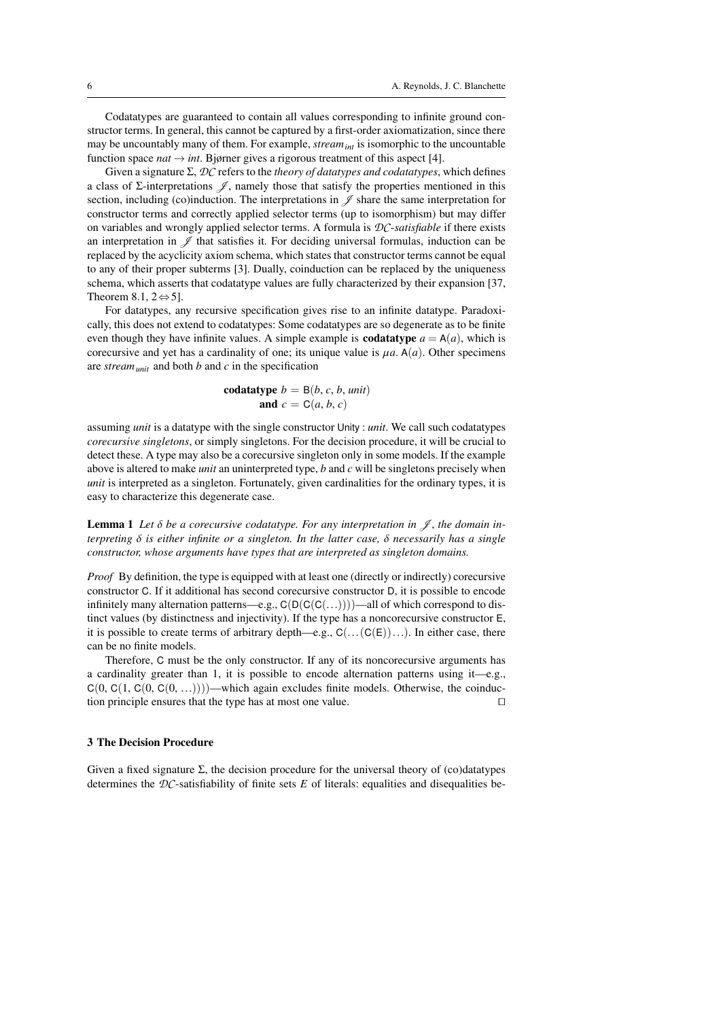Codatatypes are guaranteed to contain all values corresponding to infinite ground constructor terms. In general, this cannot be captured by a first-order axiomatization, since there may be uncountably many of them. For example, *streamint* is isomorphic to the uncountable function space  $nat \rightarrow int$ . Bjørner gives a rigorous treatment of this aspect [\[4\]](#page-19-4).

Given a signature <sup>Σ</sup>, *DC* refers to the *theory of datatypes and codatatypes*, which defines a class of Σ-interpretations  $\mathcal{J}$ , namely those that satisfy the properties mentioned in this section, including (co)induction. The interpretations in  $\mathscr J$  share the same interpretation for constructor terms and correctly applied selector terms (up to isomorphism) but may differ on variables and wrongly applied selector terms. A formula is *DC*-*satisfiable* if there exists an interpretation in  $\mathscr J$  that satisfies it. For deciding universal formulas, induction can be replaced by the acyclicity axiom schema, which states that constructor terms cannot be equal to any of their proper subterms [\[3\]](#page-19-1). Dually, coinduction can be replaced by the uniqueness schema, which asserts that codatatype values are fully characterized by their expansion [\[37,](#page-20-20) Theorem 8.1,  $2 \Leftrightarrow 5$ ].

For datatypes, any recursive specification gives rise to an infinite datatype. Paradoxically, this does not extend to codatatypes: Some codatatypes are so degenerate as to be finite even though they have infinite values. A simple example is **codatatype**  $a = A(a)$ , which is corecursive and yet has a cardinality of one; its unique value is  $\mu a$ . A(*a*). Other specimens are *streamunit* and both *b* and *c* in the specification

$$
\begin{aligned}\n\text{codatotype } b &= \mathsf{B}(b, c, b, \text{unit}) \\
\text{and } c &= \mathsf{C}(a, b, c)\n\end{aligned}
$$

assuming *unit* is a datatype with the single constructor Unity : *unit*. We call such codatatypes *corecursive singletons*, or simply singletons. For the decision procedure, it will be crucial to detect these. A type may also be a corecursive singleton only in some models. If the example above is altered to make *unit* an uninterpreted type, *b* and *c* will be singletons precisely when *unit* is interpreted as a singleton. Fortunately, given cardinalities for the ordinary types, it is easy to characterize this degenerate case.

<span id="page-5-1"></span>**Lemma 1** Let  $\delta$  be a corecursive codatatype. For any interpretation in  $\mathcal{J}$ , the domain in*terpreting* δ *is either infinite or a singleton. In the latter case,* δ *necessarily has a single constructor, whose arguments have types that are interpreted as singleton domains.*

*Proof* By definition, the type is equipped with at least one (directly or indirectly) corecursive constructor <sup>C</sup>. If it additional has second corecursive constructor <sup>D</sup>, it is possible to encode infinitely many alternation patterns—e.g.,  $C(D(C(C(...))))$ —all of which correspond to distinct values (by distinctness and injectivity). If the type has a noncorecursive constructor <sup>E</sup>, it is possible to create terms of arbitrary depth—e.g.,  $C(...(C(E))...)$ . In either case, there can be no finite models.

Therefore, C must be the only constructor. If any of its noncorecursive arguments has a cardinality greater than 1, it is possible to encode alternation patterns using it—e.g.,  $C(0, C(1, C(0, C(0, ...))))$ —which again excludes finite models. Otherwise, the coinduction principle ensures that the type has at most one value. tion principle ensures that the type has at most one value.

## <span id="page-5-0"></span>3 The Decision Procedure

Given a fixed signature  $\Sigma$ , the decision procedure for the universal theory of (co)datatypes determines the *DC*-satisfiability of finite sets *E* of literals: equalities and disequalities be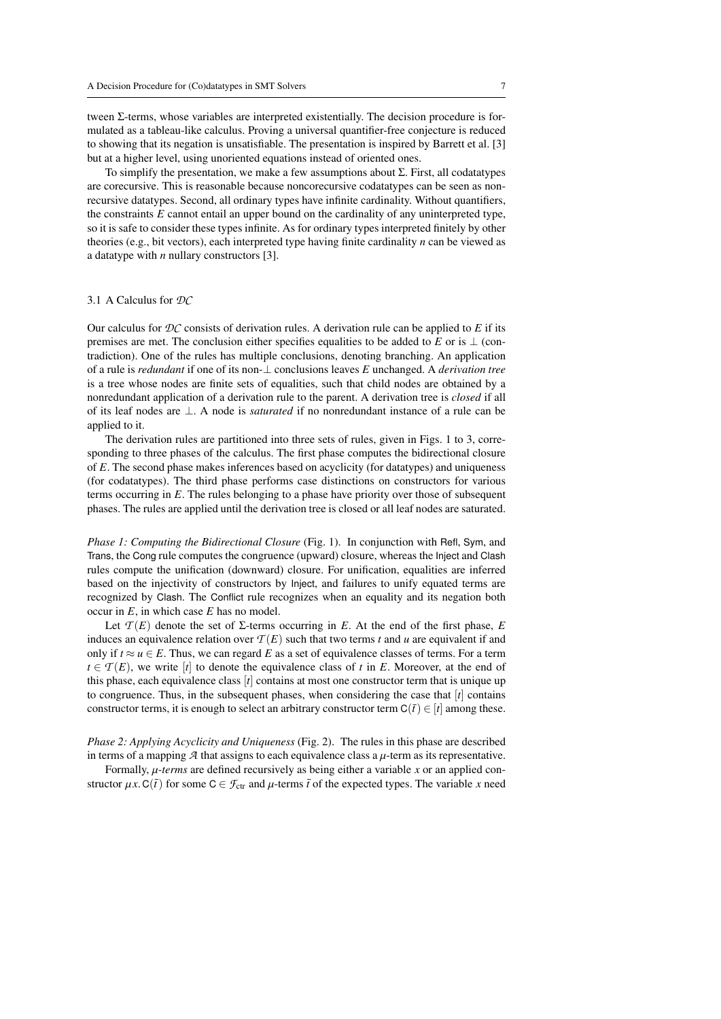tween Σ-terms, whose variables are interpreted existentially. The decision procedure is formulated as a tableau-like calculus. Proving a universal quantifier-free conjecture is reduced to showing that its negation is unsatisfiable. The presentation is inspired by Barrett et al. [\[3\]](#page-19-1) but at a higher level, using unoriented equations instead of oriented ones.

To simplify the presentation, we make a few assumptions about <sup>Σ</sup>. First, all codatatypes are corecursive. This is reasonable because noncorecursive codatatypes can be seen as nonrecursive datatypes. Second, all ordinary types have infinite cardinality. Without quantifiers, the constraints *E* cannot entail an upper bound on the cardinality of any uninterpreted type, so it is safe to consider these types infinite. As for ordinary types interpreted finitely by other theories (e.g., bit vectors), each interpreted type having finite cardinality *n* can be viewed as a datatype with *n* nullary constructors [\[3\]](#page-19-1).

## 3.1 A Calculus for *DC*

Our calculus for  $DC$  consists of derivation rules. A derivation rule can be applied to  $E$  if its premises are met. The conclusion either specifies equalities to be added to *E* or is  $\perp$  (contradiction). One of the rules has multiple conclusions, denoting branching. An application of a rule is *redundant* if one of its non-⊥ conclusions leaves *E* unchanged. A *derivation tree* is a tree whose nodes are finite sets of equalities, such that child nodes are obtained by a nonredundant application of a derivation rule to the parent. A derivation tree is *closed* if all of its leaf nodes are <sup>⊥</sup>. A node is *saturated* if no nonredundant instance of a rule can be applied to it.

The derivation rules are partitioned into three sets of rules, given in Figs. [1](#page-7-0) to [3,](#page-7-1) corresponding to three phases of the calculus. The first phase computes the bidirectional closure of *<sup>E</sup>*. The second phase makes inferences based on acyclicity (for datatypes) and uniqueness (for codatatypes). The third phase performs case distinctions on constructors for various terms occurring in *<sup>E</sup>*. The rules belonging to a phase have priority over those of subsequent phases. The rules are applied until the derivation tree is closed or all leaf nodes are saturated.

*Phase 1: Computing the Bidirectional Closure* (Fig. [1\)](#page-7-0). In conjunction with Refl, Sym, and Trans, the Cong rule computes the congruence (upward) closure, whereas the Inject and Clash rules compute the unification (downward) closure. For unification, equalities are inferred based on the injectivity of constructors by Inject, and failures to unify equated terms are recognized by Clash. The Conflict rule recognizes when an equality and its negation both occur in *<sup>E</sup>*, in which case *<sup>E</sup>* has no model.

Let  $\mathcal{T}(E)$  denote the set of  $\Sigma$ -terms occurring in *E*. At the end of the first phase, *E* induces an equivalence relation over  $T(E)$  such that two terms *t* and *u* are equivalent if and only if  $t \approx u \in E$ . Thus, we can regard E as a set of equivalence classes of terms. For a term  $t \in \mathcal{T}(E)$ , we write  $[t]$  to denote the equivalence class of *t* in *E*. Moreover, at the end of this phase, each equivalence class [*t*] contains at most one constructor term that is unique up to congruence. Thus, in the subsequent phases, when considering the case that  $[t]$  contains constructor terms, it is enough to select an arbitrary constructor term  $C(\bar{t}) \in [t]$  among these.

*Phase 2: Applying Acyclicity and Uniqueness* (Fig. [2\)](#page-7-2). The rules in this phase are described in terms of a mapping  $\mathcal A$  that assigns to each equivalence class a  $\mu$ -term as its representative.

Formally, µ-*terms* are defined recursively as being either a variable *<sup>x</sup>* or an applied constructor  $\mu x$ . C( $\bar{t}$ ) for some C  $\in \mathcal{F}_{ctr}$  and  $\mu$ -terms  $\bar{t}$  of the expected types. The variable *x* need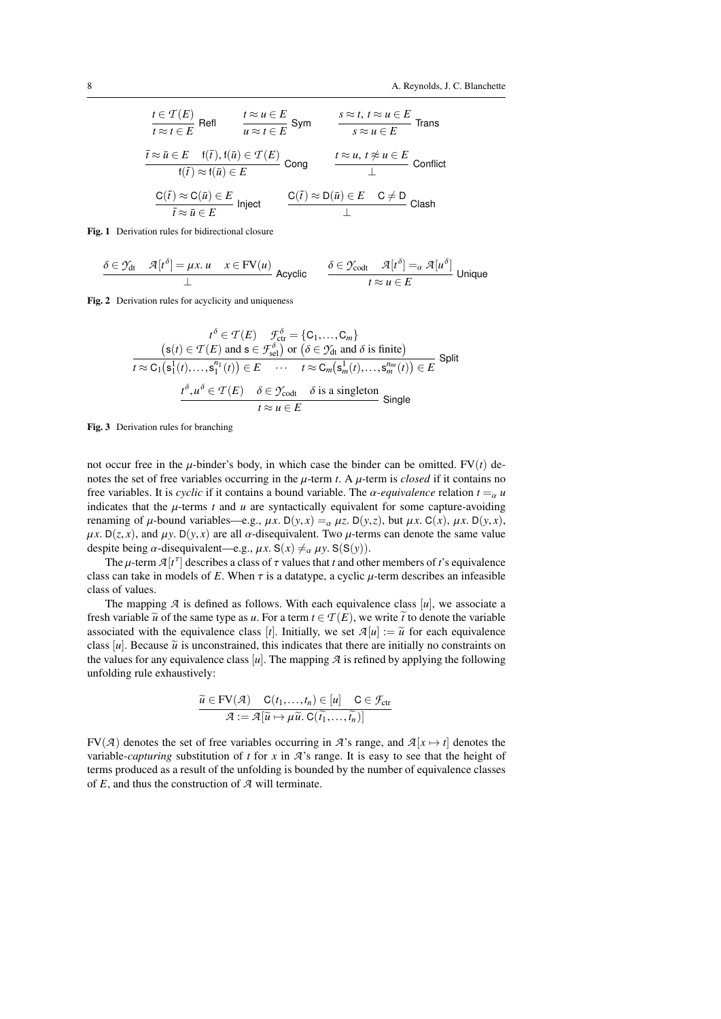$$
\begin{array}{ll}\n\frac{t \in \mathcal{T}(E)}{t \approx t \in E} \text{ Refl} & \frac{t \approx u \in E}{u \approx t \in E} \text{ Sym} & \frac{s \approx t, \ t \approx u \in E}{s \approx u \in E} \text{ Trans} \\
\frac{\overline{t} \approx \overline{u} \in E \quad \mathsf{f}(\overline{t}), \mathsf{f}(\overline{u}) \in \mathcal{T}(E)}{\mathsf{f}(\overline{t}) \approx \mathsf{f}(\overline{u}) \in E} \text{ Cong} & \frac{t \approx u, \ t \not\approx u \in E}{\bot} \text{ Conflict} \\
\frac{C(\overline{t}) \approx C(\overline{u}) \in E}{\overline{t} \approx \overline{u} \in E} \text{ Inject} & \frac{C(\overline{t}) \approx D(\overline{u}) \in E \quad C \neq D}{\bot} \text{ Class} \\
\end{array}
$$

<span id="page-7-0"></span>Fig. 1 Derivation rules for bidirectional closure

$$
\frac{\delta \in \mathcal{Y}_{dt} \quad \mathcal{A}[t^{\delta}] = \mu x. \ u \quad x \in \text{FV}(u)}{\perp} \ \text{Acyclic} \qquad \frac{\delta \in \mathcal{Y}_{\text{codt}} \quad \mathcal{A}[t^{\delta}] =_{\alpha} \mathcal{A}[u^{\delta}]}{\tau \approx u \in E} \ \text{Unique}
$$

<span id="page-7-2"></span>Fig. 2 Derivation rules for acyclicity and uniqueness

$$
t^{\delta} \in \mathcal{T}(E) \quad \mathcal{F}_{\text{ctr}}^{\delta} = \{C_1, \dots, C_m\}
$$
  
\n
$$
(s(t) \in \mathcal{T}(E) \text{ and } s \in \mathcal{F}_{\text{sel}}^{\delta}) \text{ or } (\delta \in \mathcal{Y}_{\text{dt}} \text{ and } \delta \text{ is finite})
$$
  
\n
$$
t \approx C_1(s_1^1(t), \dots, s_1^{n_1}(t)) \in E \quad \cdots \quad t \approx C_m(s_m^1(t), \dots, s_m^{n_m}(t)) \in E
$$
  
\n
$$
t^{\delta}, u^{\delta} \in \mathcal{T}(E) \quad \delta \in \mathcal{Y}_{\text{codt}} \quad \delta \text{ is a singleton}
$$
  
\n
$$
t \approx u \in E
$$

<span id="page-7-1"></span>Fig. 3 Derivation rules for branching

not occur free in the  $\mu$ -binder's body, in which case the binder can be omitted. FV(*t*) denotes the set of free variables occurring in the  $\mu$ -term *t*. A  $\mu$ -term is *closed* if it contains no free variables. It is *cyclic* if it contains a bound variable. The  $\alpha$ -equivalence relation  $t = \alpha u$ indicates that the  $\mu$ -terms  $t$  and  $u$  are syntactically equivalent for some capture-avoiding renaming of  $\mu$ -bound variables—e.g.,  $\mu x$ . D( $y$ , $x$ ) =  $\alpha$   $\mu z$ . D( $y$ , $z$ ), but  $\mu x$ . C( $x$ ),  $\mu x$ . D( $y$ , $x$ ),  $\mu x$ . D(*z*, *x*), and  $\mu y$ . D(*y*, *x*) are all  $\alpha$ -disequivalent. Two  $\mu$ -terms can denote the same value despite being  $\alpha$ -disequivalent—e.g.,  $\mu x$ . S( $x$ )  $\neq_{\alpha} \mu y$ . S(S(y)).

The  $\mu$ -term  $\mathcal{A}[t^{\tau}]$  describes a class of  $\tau$  values that *t* and other members of *t*'s equivalence<br>s can take in models of *F*. When  $\tau$  is a datatype, a cyclic *u*-term describes an infeasible class can take in models of *E*. When  $\tau$  is a datatype, a cyclic  $\mu$ -term describes an infeasible class of values.

The mapping  $\mathcal A$  is defined as follows. With each equivalence class  $[u]$ , we associate a fresh variable  $\tilde{u}$  of the same type as *u*. For a term  $t \in \mathcal{T}(E)$ , we write  $\tilde{t}$  to denote the variable associated with the equivalence class [*t*]. Initially, we set  $\mathcal{A}[u] := \tilde{u}$  for each equivalence class  $[u]$ . Because  $\tilde{u}$  is unconstrained, this indicates that there are initially no constraints on the values for any equivalence class  $[u]$ . The mapping  $A$  is refined by applying the following unfolding rule exhaustively:

$$
\widetilde{u} \in \text{FV}(\mathcal{A}) \quad \mathsf{C}(t_1, \dots, t_n) \in [u] \quad \mathsf{C} \in \mathcal{F}_{\text{ctr}} \\
 \mathcal{A} := \mathcal{A}[\widetilde{u} \mapsto \mu \widetilde{u}, \mathsf{C}(\widetilde{t_1}, \dots, \widetilde{t_n})]
$$

FV(*A*) denotes the set of free variables occurring in *A*'s range, and  $A[x \mapsto t]$  denotes the variable-*capturing* substitution of *t* for *x* in *A*'s range. It is easy to see that the height of terms produced as a result of the unfolding is bounded by the number of equivalence classes of *<sup>E</sup>*, and thus the construction of *<sup>A</sup>* will terminate.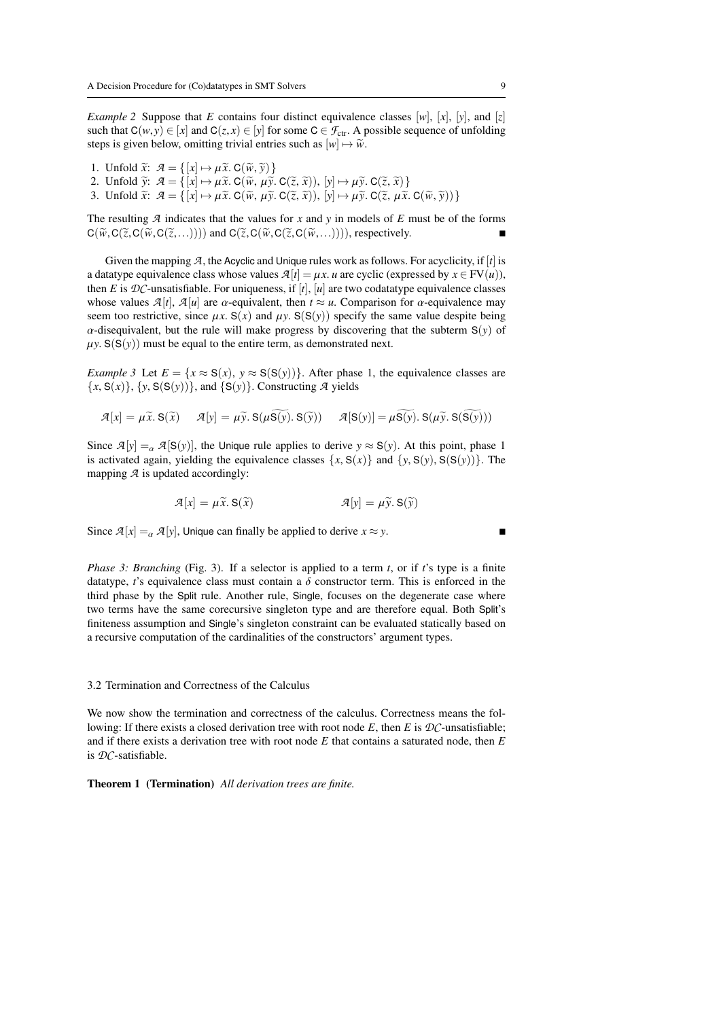*Example 2* Suppose that *<sup>E</sup>* contains four distinct equivalence classes [*w*], [*x*], [*y*], and [*z*] such that  $C(w, y) \in [x]$  and  $C(z, x) \in [y]$  for some  $C \in \mathcal{F}_{ctr}$ . A possible sequence of unfolding steps is given below, omitting trivial entries such as  $[w] \mapsto \widetilde{w}$ .

- 1. Unfold  $\widetilde{x}: \mathcal{A} = \{ [x] \mapsto \mu \widetilde{x} \cdot C(\widetilde{w}, \widetilde{y}) \}$ <br>2. Unfold  $\widetilde{y}: \mathcal{A} = \{ [x] \mapsto \mu \widetilde{x} \cdot C(\widetilde{w}, \mu \widetilde{y}) \}$
- 2. Unfold  $\widetilde{y}$ :  $\mathcal{A} = \{ [x] \mapsto \mu \widetilde{x}$ . C $(\widetilde{w}, \mu \widetilde{y})$ . C $(\widetilde{z}, \widetilde{x})$ ),  $[y] \mapsto \mu \widetilde{y}$ . C $(\widetilde{z}, \widetilde{x})$ <br>3. Unfold  $\widetilde{x}$ :  $\mathcal{A} = \{ [x] \mapsto \mu \widetilde{x}$ . C $(\widetilde{w}, \mu \widetilde{y})$ . C $(\widetilde{z}, \widetilde{y})$
- 3. Unfold  $\tilde{x}: \mathcal{A} = \{ [x] \mapsto \mu \tilde{x} \cdot C(\tilde{w}, \mu \tilde{y}, C(\tilde{z}, \tilde{x})), [y] \mapsto \mu \tilde{y} \cdot C(\tilde{z}, \mu \tilde{x}, C(\tilde{w}, \tilde{y})) \}$

The resulting  $\mathcal A$  indicates that the values for  $x$  and  $y$  in models of  $E$  must be of the forms  $C(\widetilde{w},C(\widetilde{z},C(\widetilde{w},C(\widetilde{z},...))))$  and  $C(\widetilde{z},C(\widetilde{w},C(\widetilde{z},C(\widetilde{w},...))))$ , respectively.

Given the mapping *<sup>A</sup>*, the Acyclic and Unique rules work as follows. For acyclicity, if [*t*] is a datatype equivalence class whose values  $A[t] = \mu x$ . *u* are cyclic (expressed by  $x \in FV(u)$ ), then *E* is  $\mathcal{D}C$ -unsatisfiable. For uniqueness, if  $[t]$ ,  $[u]$  are two codatatype equivalence classes whose values  $\mathcal{A}[t]$ ,  $\mathcal{A}[u]$  are  $\alpha$ -equivalent, then  $t \approx u$ . Comparison for  $\alpha$ -equivalence may seem too restrictive, since  $\mu x$ . S(*x*) and  $\mu y$ . S(S(*y*)) specify the same value despite being  $\alpha$ -disequivalent, but the rule will make progress by discovering that the subterm  $S(y)$  of  $\mu y$ . S(S(y)) must be equal to the entire term, as demonstrated next.

*Example 3* Let  $E = \{x \approx S(x), y \approx S(S(y))\}$ . After phase 1, the equivalence classes are  $\{x, S(x)\}, \{y, S(S(y))\}, \text{ and } \{S(y)\}.$  Constructing *A* yields

$$
\mathcal{A}[x] = \mu \widetilde{x}. \mathbf{S}(\widetilde{x}) \qquad \mathcal{A}[y] = \mu \widetilde{y}. \mathbf{S}(\mu \widetilde{\mathbf{S}(y)}. \mathbf{S}(\widetilde{y})) \qquad \mathcal{A}[\mathbf{S}(y)] = \mu \widetilde{\mathbf{S}(y)}. \mathbf{S}(\mu \widetilde{y}. \mathbf{S}(\widetilde{\mathbf{S}(y)}))
$$

Since  $\mathcal{A}[y] = \alpha \mathcal{A}[S(y)]$ , the Unique rule applies to derive  $y \approx S(y)$ . At this point, phase 1 is activated again, yielding the equivalence classes  $\{x, S(x)\}\$  and  $\{y, S(y), S(S(y))\}\$ . The mapping *A* is updated accordingly:

$$
\mathcal{A}[x] = \mu \tilde{x}, S(\tilde{x}) \qquad \qquad \mathcal{A}[y] = \mu \tilde{y}, S(\tilde{y})
$$

Since  $\mathcal{A}[x] = \alpha \mathcal{A}[y]$ , Unique can finally be applied to derive  $x \approx y$ .

*Phase 3: Branching* (Fig. [3\)](#page-7-1). If a selector is applied to a term *<sup>t</sup>*, or if *<sup>t</sup>*'s type is a finite datatype, *t*'s equivalence class must contain a  $\delta$  constructor term. This is enforced in the third phase by the Split rule. Another rule, Single, focuses on the degenerate case where two terms have the same corecursive singleton type and are therefore equal. Both Split's finiteness assumption and Single's singleton constraint can be evaluated statically based on a recursive computation of the cardinalities of the constructors' argument types.

# <span id="page-8-1"></span>3.2 Termination and Correctness of the Calculus

We now show the termination and correctness of the calculus. Correctness means the following: If there exists a closed derivation tree with root node  $E$ , then  $E$  is  $D\mathcal{C}$ -unsatisfiable; and if there exists a derivation tree with root node *E* that contains a saturated node, then *E* is *DC*-satisfiable.

<span id="page-8-0"></span>Theorem 1 (Termination) *All derivation trees are finite.*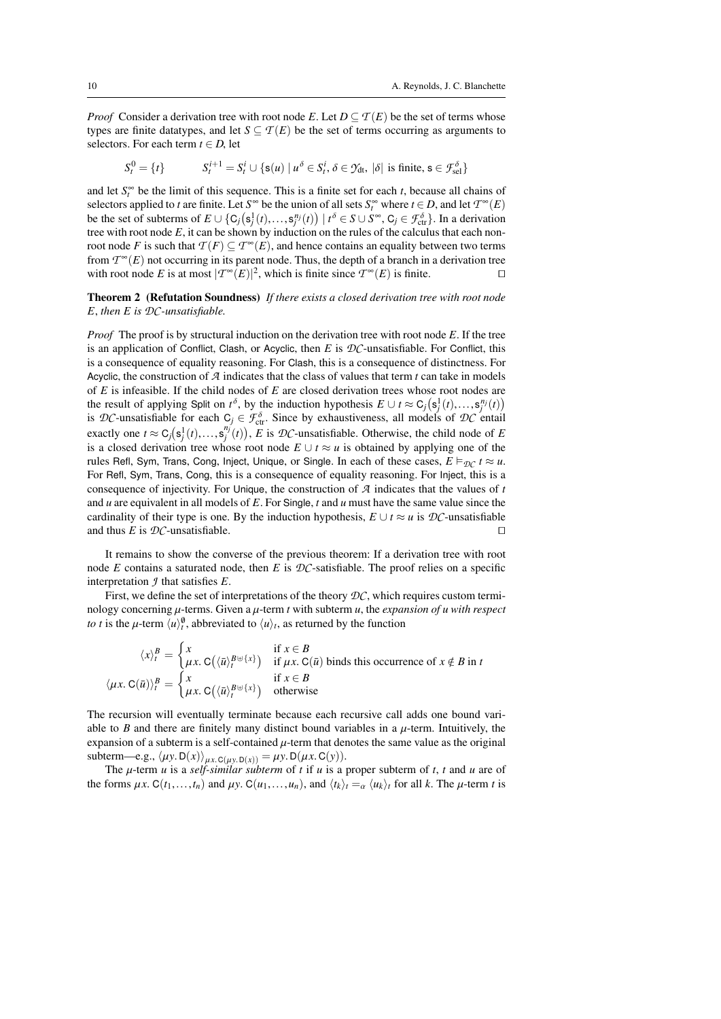*Proof* Consider a derivation tree with root node *E*. Let  $D \subseteq T(E)$  be the set of terms whose types are finite datatypes, and let  $S \subseteq T(E)$  be the set of terms occurring as arguments to selectors. For each term  $t \in D$ , let

$$
S_t^0 = \{t\} \qquad \qquad S_t^{i+1} = S_t^i \cup \{s(u) \mid u^\delta \in S_t^i, \delta \in \mathcal{Y}_{dt}, \, |\delta| \text{ is finite, } s \in \mathcal{F}_{\text{sel}}^\delta\}
$$

and let  $S_t^{\infty}$  be the limit of this sequence. This is a finite set for each *t*, because all chains of selectors applied to *t* are finite. Let  $S^{\infty}$  be the union of all sets  $S^{\infty}$  where  $t \in D$  and let  $T^{\infty}(F)$ selectors applied to *t* are finite. Let *S*<sup>∞</sup> be the union of all sets *S*<sub>*i*</sub><sup>∞</sup> where *t* ∈ *D*, and let  $T^\infty(E)$ <br>be the set of subterms of  $E \cup {f \circ (s^1(t) - s^{\pi_i}(t)) \mid t^\delta \in S \cup S^\infty}$   $C \in \mathcal{F}^\delta \setminus \text{In a derivation}$ be the set of subterms of  $E \cup \{C_j(s_j^1(t),...,s_j^{n_j}(t)) \mid t^{\delta} \in S \cup S^{\infty}, C_j \in \mathcal{F}_{\text{ctr}}^{\delta}\}$ . In a derivation<br>tree with root node *E* it can be shown by induction on the rules of the calculus that each nontree with root node *<sup>E</sup>*, it can be shown by induction on the rules of the calculus that each nonroot node *F* is such that  $T(F) \subseteq T^{\infty}(E)$ , and hence contains an equality between two terms from  $T^{\infty}(F)$  not occurring in its parent node. Thus, the depth of a branch in a derivation tree from  $\mathcal{T}^\infty(E)$  not occurring in its parent node. Thus, the depth of a branch in a derivation tree with root node *E* is at most  $|T^{\infty}(E)|^2$ , which is finite since  $T^{\infty}(E)$  is finite.

<span id="page-9-0"></span>Theorem 2 (Refutation Soundness) *If there exists a closed derivation tree with root node <sup>E</sup>*, *then <sup>E</sup> is DC-unsatisfiable.*

*Proof* The proof is by structural induction on the derivation tree with root node *<sup>E</sup>*. If the tree is an application of Conflict, Clash, or Acyclic, then *E* is *DC*-unsatisfiable. For Conflict, this is a consequence of equality reasoning. For Clash, this is a consequence of distinctness. For Acyclic, the construction of *A* indicates that the class of values that term *t* can take in models of *E* is infeasible. If the child nodes of *E* are closed derivation trees whose root nodes are the result of applying Split on  $t^{\delta}$ , by the induction hypothesis  $E \cup t \approx C_j(s_j^1(t),...,s_j^{n_j}(t))$ <br>is  $D'$ -unsatisfiable for each  $C \in \mathcal{F}^{\delta}$ . Since by exhaustiveness, all models of  $D'$ -entail is *DC*-unsatisfiable for each  $C_j \in \mathcal{F}_{\text{ctr.}}^{\delta}$ . Since by exhaustiveness, all models of *DC* entail<br>executive on  $t \propto C \left( e^{1/(t)} - e^{a^{ij}(t)} \right)$ . *F* is *OC* unsatisfiable. Otherwise, the obild node of *E* exactly one  $t \approx C_j(s_j^1(t),...,s_j^{n_j'}(t))$ , *E* is  $\mathcal{D}C$ -unsatisfiable. Otherwise, the child node of *E* is a closed derivation tree whose root node  $F \cup t \approx u$  is obtained by applying one of the is a closed derivation tree whose root node  $E \cup t \approx u$  is obtained by applying one of the rules Refl, Sym, Trans, Cong, Inject, Unique, or Single. In each of these cases,  $E \vDash_{\mathcal{D}C} t \approx u$ . For Refl, Sym, Trans, Cong, this is a consequence of equality reasoning. For Inject, this is a consequence of injectivity. For Unique, the construction of *A* indicates that the values of *t* and *<sup>u</sup>* are equivalent in all models of *<sup>E</sup>*. For Single, *<sup>t</sup>* and *<sup>u</sup>* must have the same value since the cardinality of their type is one. By the induction hypothesis,  $E \cup t \approx u$  is  $D\mathcal{C}$ -unsatisfiable and thus *E* is  $\mathcal{D}C$ -unsatisfiable.

It remains to show the converse of the previous theorem: If a derivation tree with root node *E* contains a saturated node, then *E* is *DC*-satisfiable. The proof relies on a specific interpretation *<sup>J</sup>* that satisfies *<sup>E</sup>*.

First, we define the set of interpretations of the theory *DC*, which requires custom terminology concerning  $\mu$ -terms. Given a  $\mu$ -term *t* with subterm  $\mu$ , the *expansion of*  $\mu$  *with respect to t* is the  $\mu$ -term  $\langle u \rangle_t^{\emptyset}$ , abbreviated to  $\langle u \rangle_t$ , as returned by the function

$$
\langle x \rangle_t^B = \begin{cases} x & \text{if } x \in B \\ \mu x. \ C(\langle \bar{u} \rangle_t^{B \cup \{x\}}) & \text{if } \mu x. \ C(\bar{u}) \text{ binds this occurrence of } x \notin B \text{ in } t \end{cases}
$$

$$
\langle \mu x. \ C(\bar{u}) \rangle_t^B = \begin{cases} x & \text{if } x \in B \\ \mu x. \ C(\langle \bar{u} \rangle_t^{B \cup \{x\}}) & \text{otherwise} \end{cases}
$$

The recursion will eventually terminate because each recursive call adds one bound variable to *B* and there are finitely many distinct bound variables in a  $\mu$ -term. Intuitively, the expansion of a subterm is a self-contained  $\mu$ -term that denotes the same value as the original subterm—e.g.,  $\langle \mu y. D(x) \rangle_{\mu x. C(\mu y. D(x))} = \mu y. D(\mu x. C(y)).$ 

The µ-term *<sup>u</sup>* is a *self-similar subterm* of *<sup>t</sup>* if *<sup>u</sup>* is a proper subterm of *<sup>t</sup>*, *<sup>t</sup>* and *<sup>u</sup>* are of the forms  $\mu x$ . C( $t_1, \ldots, t_n$ ) and  $\mu y$ . C( $u_1, \ldots, u_n$ ), and  $\langle t_k \rangle_t = \alpha \langle u_k \rangle_t$  for all k. The  $\mu$ -term *t* is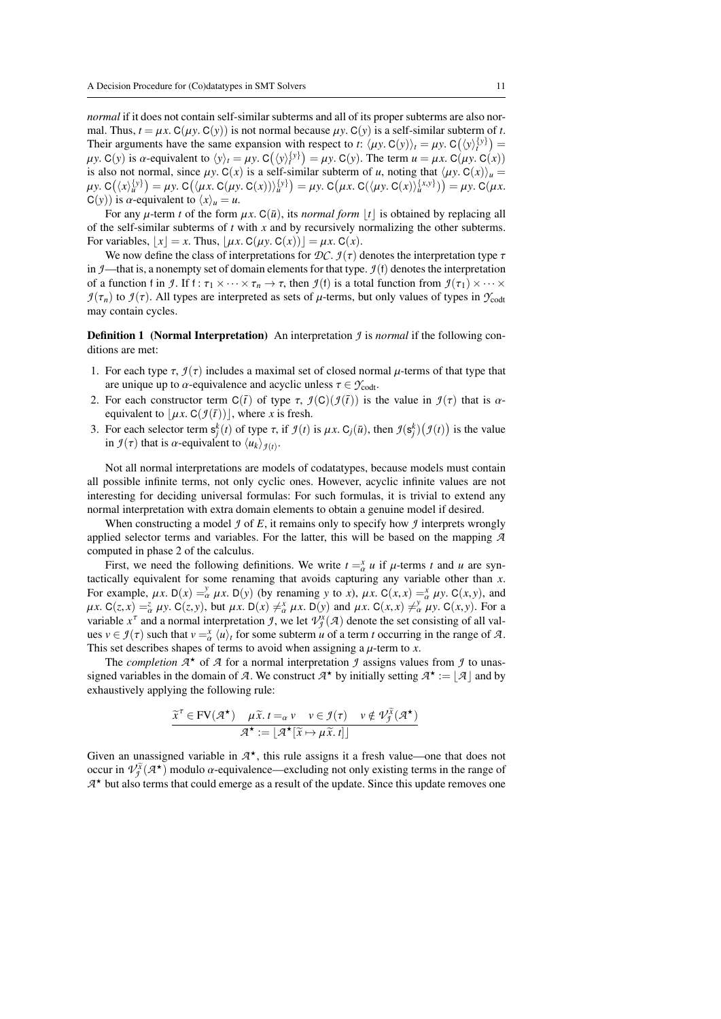*normal* if it does not contain self-similar subterms and all of its proper subterms are also normal. Thus,  $t = \mu x$ .  $C(\mu y)$ .  $C(y)$  is not normal because  $\mu y$ .  $C(y)$  is a self-similar subterm of *t*. Their arguments have the same expansion with respect to *t*:  $\langle \mu y, C(y) \rangle_t = \mu y, C(\langle y \rangle_t^{y}) =$ <br>  $\mu y, C(y)$  is  $\alpha$ -equivalent to  $\langle y \rangle = \mu y, C(\langle y \rangle_t^{y}) = \mu y, C(y)$ . The term  $\mu = \mu x, C(\mu y, C(x))$  $\mu y$ . C(*y*) is  $\alpha$ -equivalent to  $\langle y \rangle_t = \mu y$ . C( $\langle y \rangle_t^{y}$ ) =  $\mu y$ . C( $y$ ). The term  $u = \mu x$ . C( $\mu y$ , C(*x*)) =  $\alpha$  and  $y$  and  $y$  and  $y$  and  $y$  and  $y$  and  $y$  and  $y$  and  $y$  and  $y$  and  $y$  and  $y$  and  $y$  a is also not normal, since  $\mu y$ . C(*x*) is a self-similar subterm of *u*, noting that  $\langle \mu y$ . C(*x*) $\rangle_u$  =  $\mu y$ , C(*x*)**x** =  $\mu y$ , C(*x*)**x** =  $\mu y$ , C(*x*)**x** =  $\mu y$ , C(*x*)**x** =  $\mu y$ , C(*x*)**x** =  $\mu y$ , C(*x*)**x**  $\mu y. C(\langle x \rangle_u^{\{y\}}) = \mu y. C(\langle \mu x. C(\mu y. C(x)) \rangle_u^{\{y\}}) = \mu y. C(\mu x. C(\langle \mu y. C(x) \rangle_u^{\{x,y\}})) = \mu y. C(\mu x. C(\langle y \rangle_u^{\{x,y\}}))$  $C(y)$ ) is *α*-equivalent to  $\langle x \rangle_u = u$ .

For any  $\mu$ -term *t* of the form  $\mu x$ . C( $\bar{u}$ ), its *normal form* |*t*| is obtained by replacing all of the self-similar subterms of *t* with *x* and by recursively normalizing the other subterms. For variables,  $|x| = x$ . Thus,  $|\mu x$ . C( $\mu y$ . C( $x$ )) $| = \mu x$ . C( $x$ ).

We now define the class of interpretations for  $\mathcal{DC}$ .  $\mathcal{I}(\tau)$  denotes the interpretation type  $\tau$ in  $\mathcal{I}$ —that is, a nonempty set of domain elements for that type.  $\mathcal{I}(f)$  denotes the interpretation of a function f in *J*. If f:  $\tau_1 \times \cdots \times \tau_n \to \tau$ , then *J*(f) is a total function from  $\mathcal{I}(\tau_1) \times \cdots \times \tau_n$ *J*(τ<sub>n</sub>) to *J*(τ). All types are interpreted as sets of *μ*-terms, but only values of types in  $\gamma_{\text{codt}}$ may contain cycles.

**Definition 1** (Normal Interpretation) An interpretation *J* is *normal* if the following conditions are met:

- 1. For each type  $\tau$ ,  $\mathcal{I}(\tau)$  includes a maximal set of closed normal  $\mu$ -terms of that type that are unique up to  $\alpha$ -equivalence and acyclic unless  $\tau \in \mathcal{Y}_{\text{codt}}$ .
- 2. For each constructor term  $C(\bar{t})$  of type  $\tau$ ,  $\mathcal{I}(C)(\mathcal{I}(\bar{t}))$  is the value in  $\mathcal{I}(\tau)$  that is  $\alpha$ equivalent to  $|\mu x$ . C( $\mathcal{I}(\bar{t})$ ), where *x* is fresh.
- 3. For each selector term  $s_j^k(t)$  of type  $\tau$ , if  $\mathcal{I}(t)$  is  $\mu x$ . C<sub>*j*</sub>( $\bar{u}$ ), then  $\mathcal{I}(s_j^k)(\mathcal{I}(t))$  is the value in  $\mathcal{I}(\tau)$  that is  $\alpha$ -conjugate to  $\langle u_k \rangle_{k \geq 0}$ . in  $\mathcal{I}(\tau)$  that is  $\alpha$ -equivalent to  $\langle u_k \rangle_{\mathcal{I}(t)}$ .

Not all normal interpretations are models of codatatypes, because models must contain all possible infinite terms, not only cyclic ones. However, acyclic infinite values are not interesting for deciding universal formulas: For such formulas, it is trivial to extend any normal interpretation with extra domain elements to obtain a genuine model if desired.

When constructing a model  $\mathcal I$  of  $E$ , it remains only to specify how  $\mathcal I$  interprets wrongly applied selector terms and variables. For the latter, this will be based on the mapping *A* computed in phase 2 of the calculus.

First, we need the following definitions. We write  $t = x^{\alpha} u$  if  $\mu$ -terms *t* and *u* are syn-<br>ically equivalent for some renaming that avoids canturing any variable other than *x* tactically equivalent for some renaming that avoids capturing any variable other than *<sup>x</sup>*. For example,  $\mu x$ . D( $x$ ) =  $\frac{\nu}{\alpha}$   $\mu x$ . D( $y$ ) (by renaming *y* to *x*),  $\mu x$ . C(*x*, *x*) =  $\frac{\nu}{\alpha}$   $\mu y$ . C(*x*, *y*), and  $\mu x$  C(*z x*) =  $\frac{\nu}{\alpha}$   $\mu y$ . C(*z x*) =  $\frac{\nu}{\alpha}$   $\mu y$ . C(*z x*) =  $\frac{\$  $\mu x. C(z, x) = \frac{z}{\alpha} \mu y. C(z, y)$ , but  $\mu x. D(x) \neq_{\alpha}^{x} \mu x. D(y)$  and  $\mu x. C(x, x) \neq_{\alpha}^{y} \mu y. C(x, y)$ . For a variable  $x^T$  and a normal interpretation  $\mathcal{I}$  we let  $\mathcal{I}^{y}(x)$  denote the set consisting of all values variable  $x^{\tau}$  and a normal interpretation *J*, we let  $V_f^{\tau}(A)$  denote the set consisting of all values  $y \in \mathcal{I}(\tau)$  such that  $y = x/\mu$  for some subterm  $\mu$  of a term *t* occurring in the range of  $A$ ues  $v \in \mathcal{I}(\tau)$  such that  $v = \frac{x}{\alpha} \langle u \rangle_t$  for some subterm *u* of a term *t* occurring in the range of *A*.<br>This set describes shapes of terms to avoid when assigning a *u*-term to *x* This set describes shapes of terms to avoid when assigning a  $\mu$ -term to *x*.<br>The completion  $\mathcal{A}^*$  of  $\mathcal{A}$  for a normal interpretation  $\mathcal{A}$  assigns value

The *completion*  $A^*$  of  $A$  for a normal interpretation  $\mathcal I$  assigns values from  $\mathcal I$  to unassigned variables in the domain of *A*. We construct  $A^*$  by initially setting  $A^* := \lfloor A \rfloor$  and by exhaustively applying the following rule: exhaustively applying the following rule:

$$
\frac{\widetilde{x}^{\tau} \in \text{FV}(\mathcal{A}^{\star}) \quad \mu \widetilde{x}. \, t =_{\alpha} v \quad v \in \mathcal{I}(\tau) \quad v \notin \mathcal{V}_{\mathcal{I}}^{\widetilde{x}}(\mathcal{A}^{\star})}{\mathcal{A}^{\star} := \lfloor \mathcal{A}^{\star}[\widetilde{x} \mapsto \mu \widetilde{x}. \, t] \rfloor}
$$

Given an unassigned variable in  $A^*$ , this rule assigns it a fresh value—one that does not occur in  $\mathcal{V}^{\tilde{x}}(A^*)$  modulo  $\alpha$ -equivalence—excluding not only existing terms in the range of occur in  $\mathcal{V}^{\tilde{\chi}}_{\tilde{\jmath}}(\mathcal{A}^{\star})$  modulo *α*-equivalence—excluding not only existing terms in the range of  $\mathcal{A}^{\star}$  but also terms that could emerge as a result of the undate. Since this undate removes one  $A^*$  but also terms that could emerge as a result of the update. Since this update removes one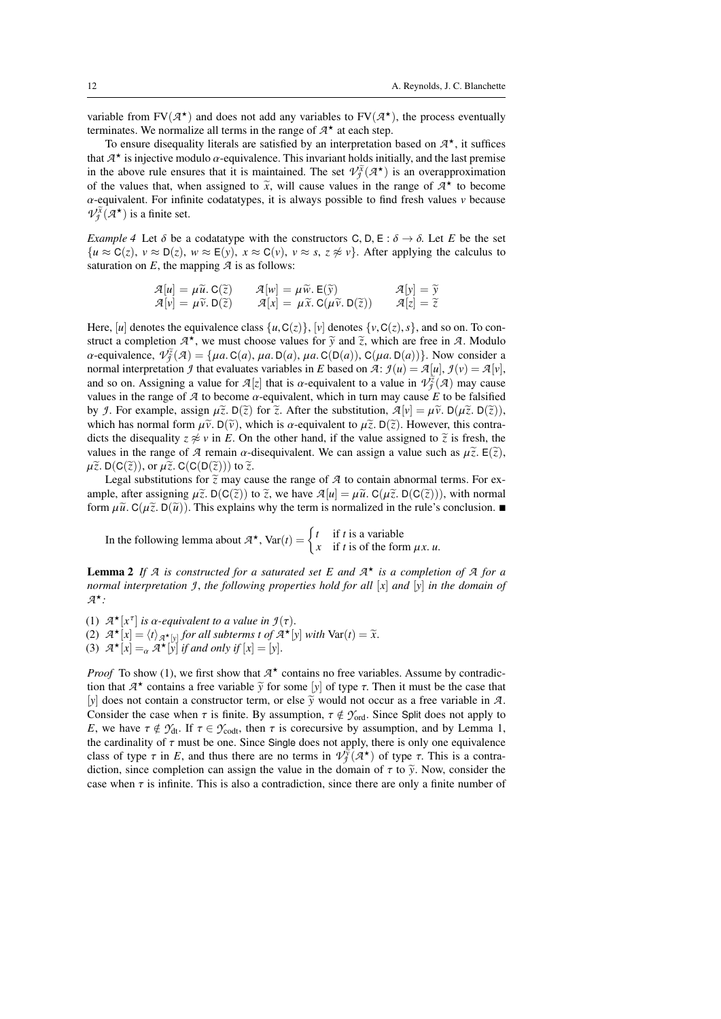variable from  $FV(\mathcal{A}^*)$  and does not add any variables to  $FV(\mathcal{A}^*)$ , the process eventually terminates. We normalize all terms in the range of  $\mathcal{A}^*$  at each step. terminates. We normalize all terms in the range of  $A^*$  at each step.

To ensure disequality literals are satisfied by an interpretation based on  $A^*$ , it suffices  $A^*$  is injective modulo  $\alpha$ -equivalence. This invariant holds initially and the last premise that  $A^*$  is injective modulo  $\alpha$ -equivalence. This invariant holds initially, and the last premise<br>in the above rule ensures that it is maintained. The set  $\mathcal{V}^{\tilde{X}}(A^*)$  is an overannoximation in the above rule ensures that it is maintained. The set  $\mathcal{V}^{\tilde{x}}_{\tilde{\jmath}}(\mathcal{A}^{\star})$  is an overapproximation of the values that, when assigned to  $\tilde{x}$ , will cause values in the range of  $A^*$  to become  $\alpha$ -equivalent. For infinite codatatives, it is always possible to find fresh values v because α-equivalent. For infinite codatatypes, it is always possible to find fresh values *<sup>v</sup>* because  $V_j^{\tilde{x}}(\mathcal{A}^{\star})$  is a finite set.

<span id="page-11-0"></span>*Example 4* Let  $\delta$  be a codatatype with the constructors C, D, E :  $\delta \rightarrow \delta$ . Let *E* be the set  ${u \approx C(z), v \approx D(z), w \approx E(y), x \approx C(v), v \approx s, z \not\approx v}.$  After applying the calculus to saturation on  $E$ , the mapping  $\mathcal A$  is as follows:

$$
\mathcal{A}[u] = \mu \widetilde{u}.\mathbf{C}(\widetilde{z}) \qquad \mathcal{A}[w] = \mu \widetilde{w}.\mathbf{E}(\widetilde{y}) \qquad \mathcal{A}[y] = \widetilde{y} \n\mathcal{A}[v] = \mu \widetilde{v}.\mathbf{D}(\widetilde{z}) \qquad \mathcal{A}[x] = \mu \widetilde{x}.\mathbf{C}(\mu \widetilde{v}.\mathbf{D}(\widetilde{z})) \qquad \mathcal{A}[z] = \widetilde{z}
$$

Here, [*u*] denotes the equivalence class  $\{u, C(z)\},$  [*v*] denotes  $\{v, C(z), s\}$ , and so on. To construct a completion  $A^*$ , we must choose values for  $\tilde{y}$  and  $\tilde{z}$ , which are free in *A*. Modulo  $\alpha$ -equivalence  $\mathcal{P}(\tilde{z}(q)) = \int_{AB} C(q) \mu q \, D(q) \mu q \, C(D(q)) \, C(\mu q \, D(q))$ . Now consider a  $\alpha$ -equivalence,  $V_j^{\tilde{z}}(A) = \{ \mu a. C(a), \mu a. D(a), \mu a. C(D(a)), C(\mu a. D(a)) \}$ . Now consider a<br>pormal interpretation 4 that evaluates variables in F based on  $\mathcal{F}: \mathcal{H}(\mu) = \mathcal{F}[\mu] \cap \mathcal{F}(\mu) = \mathcal{F}[\mu]$ normal interpretation *J* that evaluates variables in *E* based on *A*:  $\mathcal{I}(u) = \mathcal{A}[u], \mathcal{I}(v) = \mathcal{A}[v],$ and so on. Assigning a value for  $\mathcal{A}[z]$  that is  $\alpha$ -equivalent to a value in  $\mathcal{V}^{\tilde{z}}_{\tilde{z}}(\mathcal{A})$  may cause<br>values in the range of  $\mathcal{A}$  to become  $\alpha$ -equivalent which in turn may cause *E* to be falsifie values in the range of  $\mathcal A$  to become  $\alpha$ -equivalent, which in turn may cause E to be falsified by *J*. For example, assign  $\mu \tilde{z}$ . D( $\tilde{z}$ ) for  $\tilde{z}$ . After the substitution,  $\mathcal{A}[v] = \mu \tilde{v}$ . D( $\mu \tilde{z}$ . D( $\tilde{z}$ )), which has normal form  $\mu \tilde{\nu}$ . D( $\tilde{\nu}$ ), which is  $\alpha$ -equivalent to  $\mu \tilde{z}$ . D( $\tilde{z}$ ). However, this contradicts the disequality  $z \approx v$  in *E*. On the other hand, if the value assigned to  $\tilde{z}$  is fresh, the values in the range of *A* remain  $\alpha$ -disequivalent. We can assign a value such as  $\mu \tilde{z}$ .  $E(\tilde{z})$ ,  $\mu \tilde{z}$ . D(C( $\tilde{z}$ )), or  $\mu \tilde{z}$ . C(C(D( $\tilde{z}$ ))) to  $\tilde{z}$ .

Legal substitutions for  $\tilde{z}$  may cause the range of  $A$  to contain abnormal terms. For example, after assigning  $\mu \tilde{z}$ . D(C( $\tilde{z}$ )) to  $\tilde{z}$ , we have  $\mathcal{A}[u] = \mu \tilde{u}$ . C( $\mu \tilde{z}$ . D(C( $\tilde{z}$ ))), with normal form  $\mu \tilde{u}$ . C( $\mu \tilde{z}$ . D( $\tilde{u}$ )). This explains why the term is normalized in the rule's conclusion.

In the following lemma about  $A^*$ , Var(*t*) =  $\begin{cases} t & \text{if } t \text{ is a variable} \\ x & \text{if } t \text{ is of the for} \end{cases}$ *x* if *t* is of the form  $\mu x$ . *u*.

<span id="page-11-1"></span>**Lemma 2** If  $A$  is constructed for a saturated set  $E$  and  $A^{\star}$  is a completion of  $A$  for a *normal interpretation <sup>J</sup>* , *the following properties hold for all* [*x*] *and* [*y*] *in the domain of A* ?*:*

(1)  $\mathcal{A}^{\star}[x^{\tau}]$  *is a-equivalent to a value in*  $\mathcal{I}(\tau)$ .<br>(2)  $\mathcal{A}^{\star}[x] = \langle t \rangle$  and for all subterms t of  $\mathcal{A}^{\star}[x]$ . (2)  $A^{\star}[x] = \langle t \rangle_{A^{\star}[y]}$  for all subterms *t* of  $A^{\star}[y]$  with  $\text{Var}(t) = \tilde{x}$ .<br>(3)  $A^{\star}[y] = A^{\star}[y]$  if and only if  $[x] = [y]$ . (3)  $\mathcal{A}^{\star}[x] =_{\alpha} \mathcal{A}^{\star}[y]$  *if and only if*  $[x] = [y]$ .

*Proof* To show (1), we first show that  $A^*$  contains no free variables. Assume by contradiction that  $A^*$  contains a free variable  $\tilde{y}$  for some [*y*] of type  $\tau$ . Then it must be the case that [*y*] does not contain a constructor term or else  $\tilde{y}$  would not occur as a free variable in  $\tilde{y}$ [*y*] does not contain a constructor term, or else  $\tilde{y}$  would not occur as a free variable in *A*. Consider the case when  $\tau$  is finite. By assumption,  $\tau \notin \mathcal{Y}_{ord}$ . Since Split does not apply to *E*, we have  $\tau \notin \mathcal{Y}_{dt}$ . If  $\tau \in \mathcal{Y}_{\text{codt}}$ , then  $\tau$  is corecursive by assumption, and by Lemma [1,](#page-5-1) the cardinality of  $\tau$  must be one. Since Single does not apply, there is only one equivalence class of type  $\tau$  in *E*, and thus there are no terms in  $\mathcal{V}_{\mathcal{I}}^{\gamma}(\mathcal{A}^{\star})$  of type  $\tau$ . This is a contra-<br>diction since completion can assign the value in the domain of  $\tau$  to  $\tilde{\mathcal{V}}$ . Now, consider the diction, since completion can assign the value in the domain of  $\tau$  to  $\tilde{y}$ . Now, consider the case when  $\tau$  is infinite. This is also a contradiction, since there are only a finite number of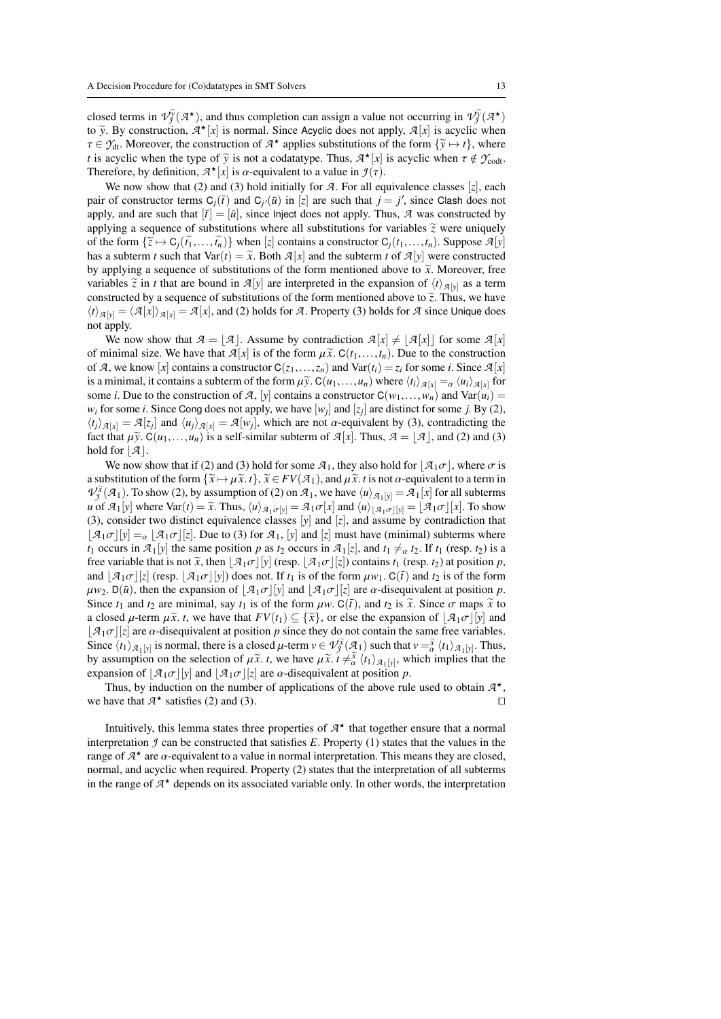closed terms in  $V_j^{\tilde{y}}(A^*)$ , and thus completion can assign a value not occurring in  $V_j^{\tilde{y}}(A^*)$ <br>to  $\tilde{y}$ . By construction,  $A^*[\tilde{y}]$  is normal. Since Acyclic does not apply.  $\mathcal{I}[\tilde{y}]$  is acyclic when to  $\tilde{y}$ . By construction,  $A^*(x)$  is normal. Since Acyclic does not apply,  $A[x]$  is acyclic when  $\tau \in \mathcal{X}$ . Moreover, the construction of  $A^*(x)$  applies substitutions of the form  $\{x \mapsto t\}$ , where  $\tau \in \mathcal{Y}_{dt}$ . Moreover, the construction of  $\mathcal{A}^{\star}$  applies substitutions of the form  $\{\tilde{y} \mapsto t\}$ , where *t* is acyclic when the type of  $\tilde{y}$  is not a codatatype. Thus  $\mathcal{A}^{\star}[y]$  is acyclic when  $\tau \notin \math$ *t* is acyclic when the type of  $\tilde{y}$  is not a codatatype. Thus,  $A^*(x)$  is acyclic when  $\tau \notin \mathcal{Y}_{\text{codt}}$ .<br>Therefore, by definition,  $A^*(x)$  is  $\alpha$ -equivalent to a value in  $I(x)$ . Therefore, by definition,  $A^*$ [*x*] is  $\alpha$ -equivalent to a value in  $\mathcal{I}(\tau)$ .<br>We now show that (2) and (3) hold initially for  $\mathcal{I}$ . For all equivalent

We now show that (2) and (3) hold initially for  $A$ . For all equivalence classes [ $z$ ], each pair of constructor terms  $C_j(\bar{t})$  and  $C_{j'}(\bar{u})$  in [*z*] are such that  $j = j'$ , since Clash does not apply and are such that  $|\bar{t}| = |\bar{u}|$  since line the does not apply Thus 9 was constructed by apply, and are such that  $[\bar{t}] = [\bar{u}]$ , since Inject does not apply. Thus, *A* was constructed by applying a sequence of substitutions where all substitutions for variables  $\tilde{z}$  were uniquely of the form  $\{\tilde{z} \mapsto C_i(\tilde{t}_1, \ldots, \tilde{t}_n)\}$  when  $[z]$  contains a constructor  $C_i(t_1, \ldots, t_n)$ . Suppose  $\mathcal{A}[y]$ has a subterm *t* such that  $Var(t) = \tilde{x}$ . Both  $\mathcal{A}[x]$  and the subterm *t* of  $\mathcal{A}[y]$  were constructed by applying a sequence of substitutions of the form mentioned above to  $\tilde{x}$ . Moreover, free variables  $\tilde{z}$  in *t* that are bound in  $\mathcal{A}[y]$  are interpreted in the expansion of  $\langle t \rangle_{\mathcal{A}[y]}$  as a term constructed by a sequence of substitutions of the form mentioned above to  $\tilde{z}$ . Thus, we have  $\langle t \rangle_{\mathcal{A}[y]} = \langle \mathcal{A}[x] \rangle_{\mathcal{A}[x]} = \mathcal{A}[x]$ , and (2) holds for *A*. Property (3) holds for *A* since Unique does not apply.

We now show that  $A = |A|$ . Assume by contradiction  $A[x] \neq [A[x]]$  for some  $A[x]$ of minimal size. We have that  $\mathcal{A}[x]$  is of the form  $\mu \tilde{x}$ .  $C(t_1,...,t_n)$ . Due to the construction of *A*, we know [*x*] contains a constructor  $C(z_1,...,z_n)$  and  $Var(t_i) = z_i$  for some *i*. Since  $A[x]$ is a minimal, it contains a subterm of the form  $\mu y \in C(u_1, \ldots, u_n)$  where  $\langle t_i \rangle_{\mathcal{A}[x]} = \alpha \langle u_i \rangle_{\mathcal{A}[x]}$  for some *i*. Due to the construction of *A*, [*y*] contains a constructor  $C(w_1,...,w_n)$  and  $Var(u_i)$ *w*<sub>*i*</sub> for some *i*. Since Cong does not apply, we have  $[w_j]$  and  $[z_j]$  are distinct for some *j*. By (2),  $(t_1)_{t \geq 1} = \mathcal{A}[x]$  and  $(u_1)_{t \geq 1} = \mathcal{A}[w]$ , which are not *g*-equivalent by (3), contradicting the  $\langle t_j \rangle_{\mathcal{A}[x]} = \mathcal{A}[z_j]$  and  $\langle u_j \rangle_{\mathcal{A}[x]} = \mathcal{A}[w_j]$ , which are not  $\alpha$ -equivalent by (3), contradicting the fact that  $\omega \tilde{v}$   $C(u, u)$  is a self-similar subterm of  $\mathcal{A}[x]$ . Thus  $\mathcal{A} = |\mathcal{A}|$  and (2) and ( fact that  $\mu \tilde{y}$ . C( $u_1, \ldots, u_n$ ) is a self-similar subterm of  $\mathcal{A}[x]$ . Thus,  $\mathcal{A} = |\mathcal{A}|$ , and (2) and (3) hold for  $|\mathcal{A}|$ .

We now show that if (2) and (3) hold for some  $A_1$ , they also hold for  $A_1\sigma$ , where  $\sigma$  is a substitution of the form  $\{\widetilde{x} \mapsto \mu \widetilde{x}, t\}$ ,  $\widetilde{x} \in FV(\mathcal{A}_1)$ , and  $\mu \widetilde{x}$ . *t* is not  $\alpha$ -equivalent to a term in  $V_f^{\tilde{x}}(A_1)$ . To show (2), by assumption of (2) on  $A_1$ , we have  $\langle u \rangle_{A_1[y]} = A_1[x]$  for all subterms  $u$  of  $A_1$  where  $Var(f) = \tilde{x}$ . Thus,  $\langle u \rangle_{A_1} = \tilde{x} - \tilde{x}$  and  $\langle u \rangle_{A_1} = \tilde{x} - \tilde{x} - \tilde{x}$  and  $\langle u \rangle_{A_1} = \$ *u* of  $\mathcal{A}_1[y]$  where  $\text{Var}(t) = \tilde{x}$ . Thus,  $\langle u \rangle_{\mathcal{A}_1 \sigma[y]} = \mathcal{A}_1 \sigma[x]$  and  $\langle u \rangle_{|\mathcal{A}_1 \sigma[y]} = |\mathcal{A}_1 \sigma[x]$ . To show (3), consider two distinct equivalence classes [*y*] and [*z*], and assume by contradiction that  $\mathcal{A}_1\sigma$ [*y*] =<sub>α</sub>  $\mathcal{A}_1\sigma$ [*z*]. Due to (3) for  $\mathcal{A}_1$ , [*y*] and [*z*] must have (minimal) subterms where *t*<sub>1</sub> occurs in  $\mathcal{A}_1[y]$  the same position *p* as *t*<sub>2</sub> occurs in  $\mathcal{A}_1[z]$ , and  $t_1 \neq a t_2$ . If  $t_1$  (resp. *t*<sub>2</sub>) is a free variable that is not  $\tilde{x}$ , then  $\mathcal{A}_1\sigma$  [*y*] (resp.  $\mathcal{A}_1\sigma$  [*z*]) contains  $t_1$  (resp.  $t_2$ ) at position *p*, and  $\frac{1}{2}$  (resp.  $\frac{1}{2}$  (resp.  $\frac{1}{2}$   $\frac{1}{\sigma}$   $\frac{1}{\sigma}$ )) does not. If  $t_1$  is of the form  $\mu w_1$ . C( $\bar{t}$ ) and  $t_2$  is of the form  $\mu w_2$ . D( $\bar{u}$ ), then the expansion of  $|\mathcal{A}_1\sigma|$ [*y*] and  $|\mathcal{A}_1\sigma|$ [*z*] are  $\alpha$ -disequivalent at position *p*. Since  $t_1$  and  $t_2$  are minimal, say  $t_1$  is of the form  $\mu w$ . C( $\bar{t}$ ), and  $t_2$  is  $\tilde{x}$ . Since  $\sigma$  maps  $\tilde{x}$  to a closed  $\mu$ -term  $\mu \tilde{x}$ . *t*, we have that  $FV(t_1) \subseteq {\tilde{x}}$ , or else the expansion of  $\mathcal{A}_1 \sigma$ [*y*] and  $|\mathcal{A}_1\sigma||z|$  are  $\alpha$ -disequivalent at position *p* since they do not contain the same free variables. Since  $\langle t_1 \rangle_{\mathcal{A}_1[y]}$  is normal, there is a closed  $\mu$ -term  $\nu \in \mathcal{V}^{\tilde{\mathcal{X}}}_{\mathcal{I}}(\mathcal{A}_1)$  such that  $\nu = \tilde{\mathcal{X}} \langle t_1 \rangle_{\mathcal{A}_1[y]}$ . Thus, hy assumption on the selection of  $\mu \tilde{\mathcal{X}} t$ , we have  $\mu \tilde{\mathcal{X$ by assumption on the selection of  $\mu \tilde{x}$ . *t*, we have  $\mu \tilde{x}$ .  $\tilde{t} \neq \tilde{\alpha}$   $\langle t_1 \rangle_{\mathcal{A}_1[y]}$ , which implies that the expansion of  $\left[\mathcal{A}_1\sigma\right][y]$  and  $\left[\mathcal{A}_1\sigma\right][z]$  are  $\alpha$ -disequivalent at position *p*.<br>Thus, by induction on the number of applications of the above rule

Thus, by induction on the number of applications of the above rule used to obtain  $A^*$ ,<br>have that  $A^*$  satisfies (2) and (3) we have that  $A^*$  satisfies (2) and (3).

Intuitively, this lemma states three properties of  $A^*$  that together ensure that a normal interpretation  $\hat{J}$  can be constructed that satisfies  $E$ . Property (1) states that the values in the range of  $A^*$  are  $\alpha$ -equivalent to a value in normal interpretation. This means they are closed, normal and acyclic when required. Property (2) states that the interpretation of all subterms normal, and acyclic when required. Property (2) states that the interpretation of all subterms in the range of  $A^*$  depends on its associated variable only. In other words, the interpretation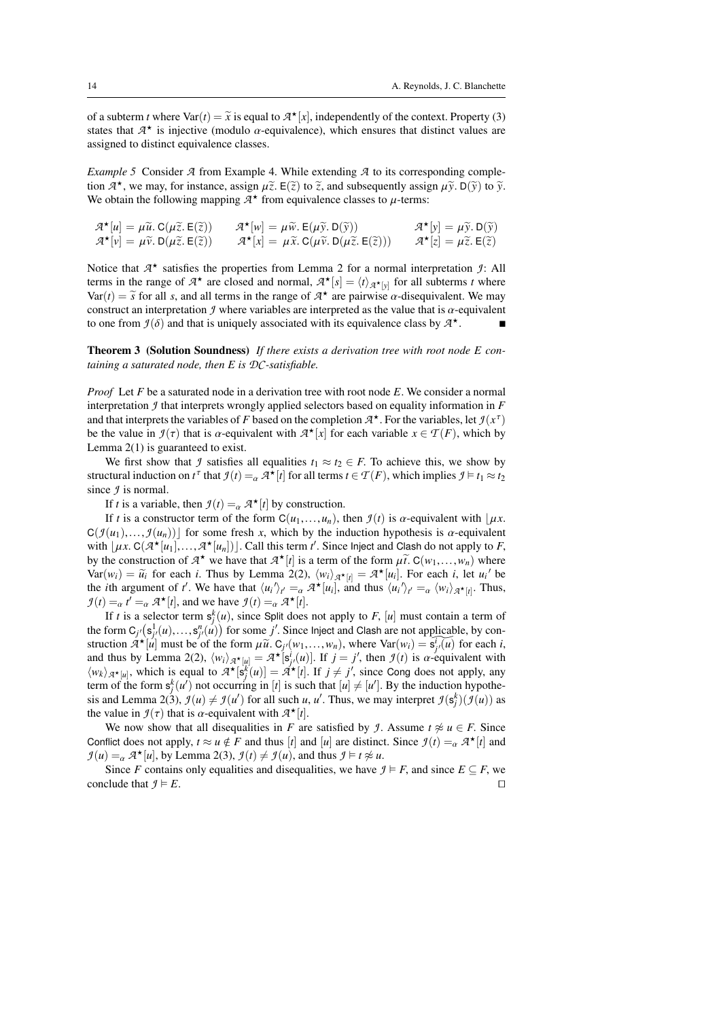of a subterm *t* where  $\text{Var}(t) = \tilde{x}$  is equal to  $\mathcal{A}^{\star}[x]$ , independently of the context. Property (3) states that  $\mathcal{A}^{\star}$  is injective (modulo *o*-equivalence), which ensures that distinct values are states that  $A^*$  is injective (modulo  $\alpha$ -equivalence), which ensures that distinct values are assigned to distinct equivalence classes assigned to distinct equivalence classes.

<span id="page-13-0"></span>*Example 5* Consider *A* from Example [4.](#page-11-0) While extending *A* to its corresponding completion  $A^*$ , we may, for instance, assign  $\mu \tilde{z}$ . E( $\tilde{z}$ ) to  $\tilde{z}$ , and subsequently assign  $\mu \tilde{y}$ . D( $\tilde{y}$ ) to  $\tilde{y}$ .<br>We obtain the following manning  $A^*$  from equivalence classes to *u*-terms: We obtain the following mapping  $A^*$  from equivalence classes to  $\mu$ -terms:

$$
\mathcal{A}^{\star}[u] = \mu \widetilde{u}. \ C(\mu \widetilde{z}. \ E(\widetilde{z})) \qquad \mathcal{A}^{\star}[w] = \mu \widetilde{w}. \ E(\mu \widetilde{y}. \ D(\widetilde{y})) \qquad \mathcal{A}^{\star}[y] = \mu \widetilde{y}. \ D(\widetilde{y}) \n\mathcal{A}^{\star}[v] = \mu \widetilde{v}. \ D(\mu \widetilde{z}. \ E(\widetilde{z})) \qquad \mathcal{A}^{\star}[x] = \mu \widetilde{x}. \ C(\mu \widetilde{v}. \ D(\mu \widetilde{z}. \ E(\widetilde{z}))) \qquad \mathcal{A}^{\star}[z] = \mu \widetilde{z}. \ E(\widetilde{z})
$$

Notice that  $A^*$  satisfies the properties from Lemma [2](#page-11-1) for a normal interpretation  $\mathcal{I}$ : All terms in the range of  $A^*$  are closed and normal,  $A^*[s] = \langle t \rangle_{A^*[y]}$  for all subterms *t* where Var(*t*) =  $\tilde{s}$  for all *s*, and all terms in the range of  $A^*$  are pairwise α-disequivalent. We may construct an interpretation *I* where variables are interpreted as the value that is α-equivalent construct an interpretation  $\mathcal I$  where variables are interpreted as the value that is  $\alpha$ -equivalent to one from  $\mathcal{I}(\delta)$  and that is uniquely associated with its equivalence class by  $\mathcal{A}^{\star}$ .

<span id="page-13-1"></span>Theorem 3 (Solution Soundness) *If there exists a derivation tree with root node E containing a saturated node, then E is DC-satisfiable.*

*Proof* Let *<sup>F</sup>* be a saturated node in a derivation tree with root node *<sup>E</sup>*. We consider a normal interpretation *J* that interprets wrongly applied selectors based on equality information in *F* and that interprets the variables of *F* based on the completion  $A^*$ . For the variables, let  $f(x^{\tau})$  be the value in  $f(x)$  that is  $\alpha$ -equivalent with  $A^*$   $\lbrack x \rbrack$  for each variable  $x \in \mathcal{T}(F)$  which by be the value in  $\mathcal{I}(\tau)$  that is  $\alpha$ -equivalent with  $\mathcal{A}^{\star}[x]$  for each variable  $x \in \mathcal{T}(F)$ , which by I emma 2(1) is quaranteed to exist Lemma [2\(](#page-11-1)1) is guaranteed to exist.

We first show that *J* satisfies all equalities  $t_1 \approx t_2 \in F$ . To achieve this, we show by structural induction on  $t^{\tau}$  that  $\mathcal{I}(t) =_{\alpha} \mathcal{A}^{\star}[t]$  for all terms  $t \in \mathcal{T}(F)$ , which implies  $\mathcal{I} \models t_1 \approx t_2$ since *J* is normal.

If *t* is a variable, then  $f(t) = \alpha A^*[t]$  by construction.

If *t* is a constructor term of the form  $C(u_1,...,u_n)$ , then  $\mathcal{I}(t)$  is  $\alpha$ -equivalent with  $|\mu x$ .  $C(\mathcal{I}(u_1),..., \mathcal{I}(u_n))$  for some fresh x, which by the induction hypothesis is  $\alpha$ -equivalent with  $[\mu x, C(\mathcal{A}^{\star}[u_1],..., \mathcal{A}^{\star}[u_n])]$ . Call this term *t'*. Since Inject and Clash do not apply to *F*,<br>by the construction of  $\mathcal{A}^{\star}$  we have that  $\mathcal{A}^{\star}[t]$  is a term of the form  $\tilde{u}$ ,  $C(w_1, ..., w_n)$  where by the construction of  $A^*$  we have that  $A^*[t]$  is a term of the form  $\mu \tilde{t}$ .  $C(w_1, \ldots, w_n)$  where  $Var(w_i) = \tilde{w}_i$  for each *i*. Thus by Lemma 2(2),  $\langle w_i \rangle_{\text{max}} = A^*[w]$ . For each *i* let  $w_i$  be  $Var(w_i) = \tilde{u}_i$  for each *i*. Thus by Lemma [2\(](#page-11-1)2),  $\langle w_i \rangle_{\mathcal{A}^{\star}[t]} = \mathcal{A}^{\star}[u_i]$ . For each *i*, let  $u_i'$  be the *i*th argument of  $t'$ . We have that  $\langle u_i' \rangle_{\mathcal{A}} = \langle \mathcal{A}^{\star}[u_i]$  and thus  $\langle u_i' \rangle_{\mathcal{A}} = \langle w_i \rangle_{\math$ the *i*<sup>th</sup> argument of *t'*. We have that  $\langle u_i' \rangle_{t'} =_{\alpha} \mathcal{A}^{\star}[u_i]$ , and thus  $\langle u_i' \rangle_{t'} =_{\alpha} \langle w_i \rangle_{\mathcal{A}^{\star}[t]}$ . Thus,  $\mathcal{I}(t) =_{\alpha} t' =_{\alpha} \mathcal{A}^{\star}[t]$ , and we have  $\mathcal{I}(t) =_{\alpha} \mathcal{A}^{\star}[t]$ .<br>If *t* is a selector term  $s^{k}(u)$ , since Split does

If *t* is a selector term  $s_j^k(u)$ , since Split does not apply to *F*, [*u*] must contain a term of form  $C_{\nu}(s_1^1(u) - s^n(u))$  for some *i*'. Since light and Clash are not applicable, by conthe form  $C_j$ <sup>*i*</sup>( $s_j^l$ (*u*),..., $s_j^h$ (*u*)) for some *j'*. Since lnject and Clash are not applicable, by con-<br>struction  $\mathcal{I}^{\star}[\mu]$  must be of the form  $\mu \tilde{u}$ ,  $C_{\star}(\mu)$ , where  $Var(\mu) - \epsilon \tilde{f}(\mu)$  for each *i* struction  $\mathcal{A}^{\star}[u]$  must be of the form  $\mu \tilde{u}$ .  $C_{j'}(w_1,...,w_n)$ , where  $\text{Var}(w_i) = \tilde{s}_{j'}^T(u)$  for each *i*,<br>and thus by Lemma [2\(](#page-11-1)2),  $\langle w_i \rangle_{\mathcal{A}^{\star}[u]} = \mathcal{A}^{\star}[s_{j'}^T(u)]$ . If  $j = j'$ , then  $\mathcal{I}(t)$  is  $\alpha$ -equ term of the form  $s_j^k(u')$  not occurring in [*t*] is such that  $[u] \neq [u']$ . By the induction hypothe-<br>sis and I emma 2(3),  $q(u) \neq q(u')$  for all such  $u, u'$ . Thus, we may interpret  $q(s^k)(q(u))$  as sis and Lemma [2\(](#page-11-1)3),  $\mathcal{I}(u) \neq \mathcal{I}(u')$  for all such *u*, *u'*. Thus, we may interpret  $\mathcal{I}(s_j^k)(\mathcal{I}(u))$  as<br>the value in  $\mathcal{I}(\tau)$  that is  $\alpha$ -conjvalent with  $\mathcal{I}^{\star}[i]$ the value in  $f(\tau)$  that is  $\alpha$ -equivalent with  $A^{\star}[t]$ .<br>We now show that all discounting in *F* are

We now show that all disequalities in *F* are satisfied by *J*. Assume  $t \not\approx u \in F$ . Since Conflict does not apply,  $t \approx u \notin F$  and thus [*t*] and [*u*] are distinct. Since  $\mathcal{I}(t) = \alpha \mathcal{A}^* [t]$  and  $\mathcal{I}(u) = \alpha \mathcal{I}^* [u]$  by Lemma 2(3)  $\mathcal{I}(t) \neq \mathcal{I}(u)$  and thus  $\mathcal{I} \models t \not\approx u$  $\mathcal{I}(u) =_{\alpha} \mathcal{A}^{\star}[u]$ , by Lemma [2\(](#page-11-1)3),  $\mathcal{I}(t) \neq \mathcal{I}(u)$ , and thus  $\mathcal{I} \models t \not\approx u$ .<br>Since *F* contains only equalities and discoussities we have

Since *F* contains only equalities and disequalities, we have  $\mathcal{I} \models F$ , and since  $E \subseteq F$ , we clude that  $\mathcal{I} \models F$ conclude that  $f \vDash E$ .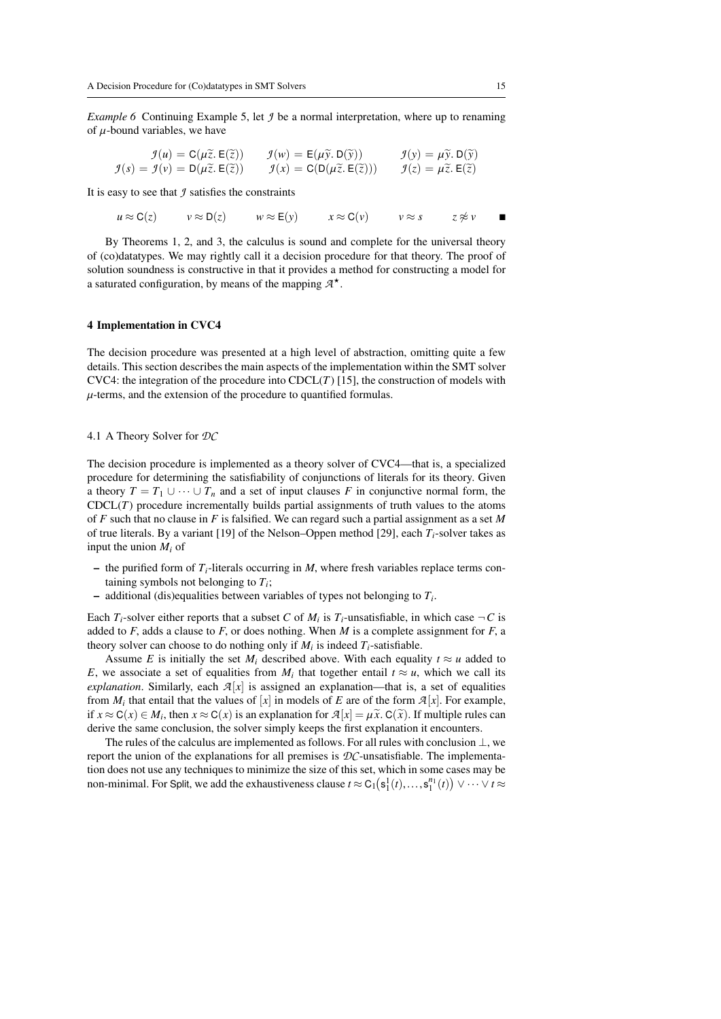*Example 6* Continuing Example [5,](#page-13-0) let *J* be a normal interpretation, where up to renaming of  $\mu$ -bound variables, we have

$$
\mathcal{I}(u) = \mathbf{C}(\mu \tilde{z}, \mathbf{E}(\tilde{z})) \qquad \mathcal{I}(w) = \mathbf{E}(\mu \tilde{y}, \mathbf{D}(\tilde{y})) \qquad \mathcal{I}(y) = \mu \tilde{y}, \mathbf{D}(\tilde{y})
$$

$$
\mathcal{I}(s) = \mathcal{I}(v) = \mathbf{D}(\mu \tilde{z}, \mathbf{E}(\tilde{z})) \qquad \mathcal{I}(x) = \mathbf{C}(\mathbf{D}(\mu \tilde{z}, \mathbf{E}(\tilde{z}))) \qquad \mathcal{I}(z) = \mu \tilde{z}, \mathbf{E}(\tilde{z})
$$

It is easy to see that *J* satisfies the constraints

*u* ≈ C(*z*) *v* ≈ D(*z*) *w* ≈ E(*y*) *x* ≈ C(*v*) *v* ≈ *s z* ≉ *v* 

By Theorems [1,](#page-8-0) [2,](#page-9-0) and [3,](#page-13-1) the calculus is sound and complete for the universal theory of (co)datatypes. We may rightly call it a decision procedure for that theory. The proof of solution soundness is constructive in that it provides a method for constructing a model for a saturated configuration, by means of the mapping  $\mathcal{A}^*$ .

## <span id="page-14-0"></span>4 Implementation in CVC4

The decision procedure was presented at a high level of abstraction, omitting quite a few details. This section describes the main aspects of the implementation within the SMT solver CVC4: the integration of the procedure into  $CDCL(T)$  [\[15\]](#page-20-21), the construction of models with  $\mu$ -terms, and the extension of the procedure to quantified formulas.

#### 4.1 A Theory Solver for *DC*

The decision procedure is implemented as a theory solver of CVC4—that is, a specialized procedure for determining the satisfiability of conjunctions of literals for its theory. Given a theory  $T = T_1 \cup \cdots \cup T_n$  and a set of input clauses F in conjunctive normal form, the  $CDCL(T)$  procedure incrementally builds partial assignments of truth values to the atoms of *F* such that no clause in *F* is falsified. We can regard such a partial assignment as a set *M* of true literals. By a variant [\[19\]](#page-20-22) of the Nelson–Oppen method [\[29\]](#page-20-3), each *Ti*-solver takes as input the union *M<sup>i</sup>* of

- the purified form of  $T_i$ -literals occurring in *M*, where fresh variables replace terms containing symbols not belonging to *T<sup>i</sup>* ;
- $-$  additional (dis)equalities between variables of types not belonging to  $T_i$ .

Each  $T_i$ -solver either reports that a subset *C* of  $M_i$  is  $T_i$ -unsatisfiable, in which case  $\neg C$  is added to  $F$ , adds a clause to  $F$ , or does nothing. When  $M$  is a complete assignment for  $F$ , a theory solver can choose to do nothing only if  $M_i$  is indeed  $T_i$ -satisfiable.

Assume *E* is initially the set *M<sub>i</sub>* described above. With each equality  $t \approx u$  added to *E*, we associate a set of equalities from *M<sub>i</sub>* that together entail  $t \approx u$ , which we call its explanation. Similarly each  $\mathcal{A}[x]$  is assigned an explanation—that is a set of equalities *explanation*. Similarly, each  $\mathcal{A}[x]$  is assigned an explanation—that is, a set of equalities from  $M_i$  that entail that the values of [*x*] in models of *E* are of the form  $\mathcal{A}[x]$ . For example,<br>if  $x \sim C(x) \in M_i$ , then  $x \approx C(x)$  is an explanation for  $\mathcal{A}[x] = u \widetilde{x} C(\widetilde{x})$ . If multiple rules can if *x* ≈ C(*x*) ∈ *M*<sub>*i*</sub>, then *x* ≈ C(*x*) is an explanation for  $\mathcal{A}[x] = \mu \tilde{x}$ . C( $\tilde{x}$ ). If multiple rules can derive the same conclusion, the solver simply keeps the first explanation it encounters.

The rules of the calculus are implemented as follows. For all rules with conclusion  $\perp$ , we report the union of the explanations for all premises is *DC*-unsatisfiable. The implementation does not use any techniques to minimize the size of this set, which in some cases may be non-minimal. For Split, we add the exhaustiveness clause  $t \approx C_1(s_1^1(t),...,s_1^{n_1}(t)) \vee \cdots \vee t \approx$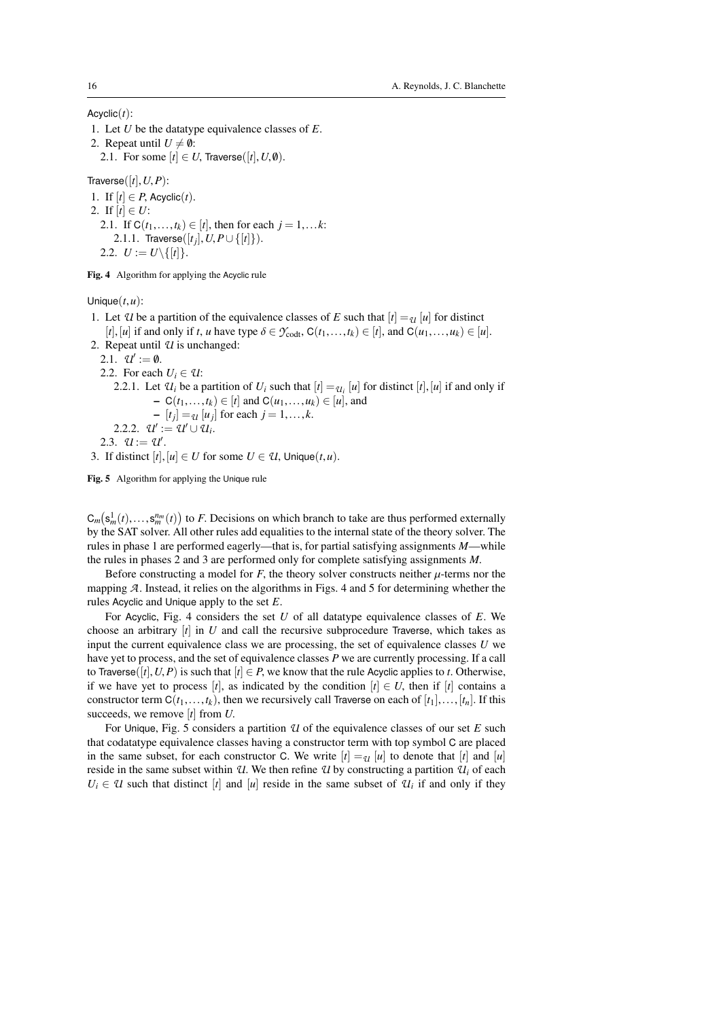Acyclic(*t*):

1. Let *<sup>U</sup>* be the datatype equivalence classes of *<sup>E</sup>*.

2. Repeat until  $U \neq \emptyset$ :

2.1. For some  $[t] \in U$ , Traverse([t],  $U$ ,  $\emptyset$ ).

Traverse $([t], U, P)$ :

1. If  $[t] \in P$ , Acyclic $(t)$ . 2. If  $[t] \in U$ : 2.1. If  $C(t_1,...,t_k) \in [t]$ , then for each  $j = 1,...k$ : 2.1.1. Traverse([*t<sub>j</sub>*], *U*, *P*∪{[*t*]}). 2.2.  $U := U \setminus \{ [t] \}.$ 

<span id="page-15-0"></span>Fig. 4 Algorithm for applying the Acyclic rule

Unique(*t*,*u*):

- 1. Let *U* be a partition of the equivalence classes of *E* such that  $[t] = U[u]$  for distinct  $[t], [u]$  if and only if *t*, *u* have type  $\delta \in \mathcal{Y}_{\text{codt}}$ ,  $C(t_1,...,t_k) \in [t]$ , and  $C(u_1,...,u_k) \in [u]$ .
- 2. Repeat until *U* is unchanged:

2.1.  $U' := \emptyset$ .<br>2.2. For each

- 2.2. For each  $U_i \in \mathcal{U}$ :
- 2.2.1. Let  $U_i$  be a partition of  $U_i$  such that  $[t] = U_i$  [*u*] for distinct [*t*], [*u*] if and only if − C( $t_1, ..., t_k$ ) ∈ [ $t$ ] and C( $u_1, ..., u_k$ ) ∈ [ $u$ ], and

 $\begin{array}{l} [-\ [t_j] =_{\mathcal{U}} [u_j] \text{ for each } j = 1, \ldots, k. \\ [t] \begin{cases} v' := q t' \sqcup q I \end{cases} \end{array}$ 

2.2.2.  $u' := u' \cup u_i$ .

```
2.3. U := U'.
```
3. If distinct  $[t], [u] \in U$  for some  $U \in \mathcal{U}$ , Unique $(t, u)$ .

<span id="page-15-1"></span>Fig. 5 Algorithm for applying the Unique rule

 $C_m(s_m^1(t),...,s_m^n(t))$  to *F*. Decisions on which branch to take are thus performed externally<br>by the SAT solver. All other rules add equalities to the internal state of the theory solver. The by the SAT solver. All other rules add equalities to the internal state of the theory solver. The rules in phase 1 are performed eagerly—that is, for partial satisfying assignments *M*—while the rules in phases 2 and 3 are performed only for complete satisfying assignments *<sup>M</sup>*.

Before constructing a model for  $F$ , the theory solver constructs neither  $\mu$ -terms nor the mapping *<sup>A</sup>*. Instead, it relies on the algorithms in Figs. [4](#page-15-0) and [5](#page-15-1) for determining whether the rules Acyclic and Unique apply to the set *<sup>E</sup>*.

For Acyclic, Fig. [4](#page-15-0) considers the set *<sup>U</sup>* of all datatype equivalence classes of *<sup>E</sup>*. We choose an arbitrary [*t*] in *<sup>U</sup>* and call the recursive subprocedure Traverse, which takes as input the current equivalence class we are processing, the set of equivalence classes *U* we have yet to process, and the set of equivalence classes *P* we are currently processing. If a call to Traverse( $[t], U, P$ ) is such that  $[t] \in P$ , we know that the rule Acyclic applies to *t*. Otherwise, if we have yet to process [*t*], as indicated by the condition  $[t] \in U$ , then if [*t*] contains a constructor term  $C(t_1,...,t_k)$ , then we recursively call Traverse on each of  $[t_1],..., [t_n]$ . If this succeeds, we remove [*t*] from *<sup>U</sup>*.

For Unique, Fig. [5](#page-15-1) considers a partition *U* of the equivalence classes of our set *E* such that codatatype equivalence classes having a constructor term with top symbol C are placed in the same subset, for each constructor C. We write  $[t] = U[u]$  to denote that  $[t]$  and  $[u]$ reside in the same subset within *U*. We then refine *U* by constructing a partition  $U_i$  of each  $U_i \in \mathcal{U}$  such that distinct [*t*] and [*u*] reside in the same subset of  $\mathcal{U}_i$  if and only if they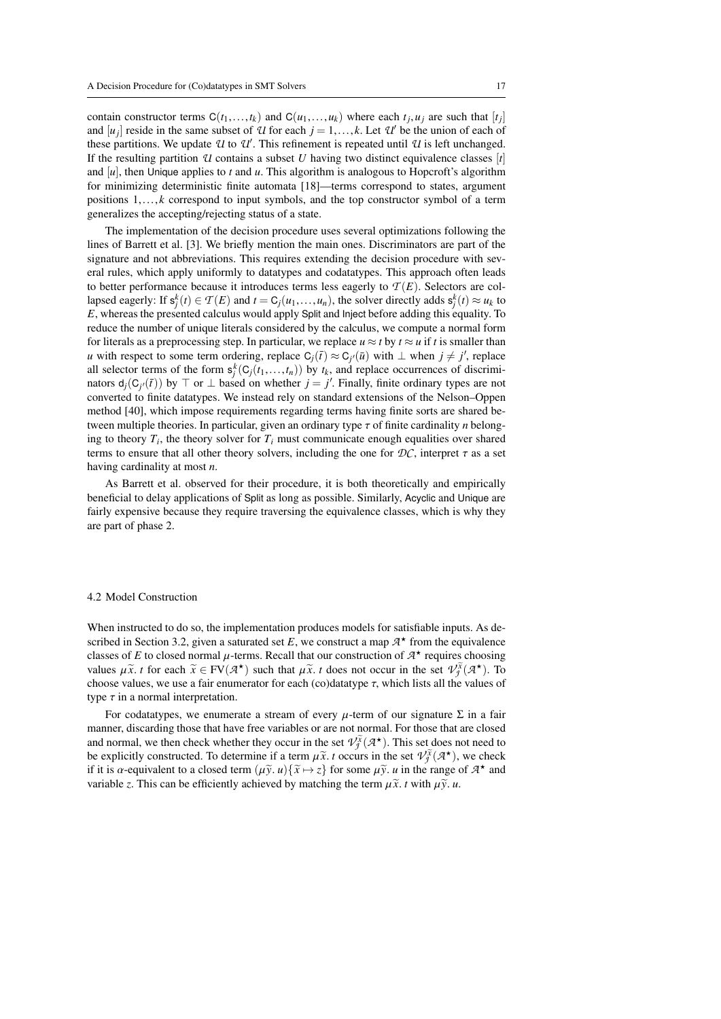contain constructor terms  $C(t_1,...,t_k)$  and  $C(u_1,...,u_k)$  where each  $t_j, u_j$  are such that  $[t_j]$ <br>and  $[u_j]$  reside in the same subset of  $\mathcal{I}l$  for each  $j-1$   $k$ . Let  $\mathcal{I}l'$  be the union of each of and  $[u_j]$  reside in the same subset of *U* for each  $j = 1, \ldots, k$ . Let *U'* be the union of each of these partitions. We undate *II* to *I''*. This refinement is repeated until *II* is left unchanged. these partitions. We update *U* to *U'*. This refinement is repeated until *U* is left unchanged.<br>If the resulting partition *II* contains a subset *U* baying two distinct equivalence classes [*i*] If the resulting partition  $U$  contains a subset  $U$  having two distinct equivalence classes  $[t]$ and [*u*], then Unique applies to *<sup>t</sup>* and *<sup>u</sup>*. This algorithm is analogous to Hopcroft's algorithm for minimizing deterministic finite automata [\[18\]](#page-20-23)—terms correspond to states, argument positions 1,..., *<sup>k</sup>* correspond to input symbols, and the top constructor symbol of a term generalizes the accepting/rejecting status of a state.

The implementation of the decision procedure uses several optimizations following the lines of Barrett et al. [\[3\]](#page-19-1). We briefly mention the main ones. Discriminators are part of the signature and not abbreviations. This requires extending the decision procedure with several rules, which apply uniformly to datatypes and codatatypes. This approach often leads to better performance because it introduces terms less eagerly to  $T(E)$ . Selectors are collapsed eagerly: If  $\mathbf{s}_j^k(t) \in \mathcal{T}(E)$  and  $t = C_j(u_1, \ldots, u_n)$ , the solver directly adds  $\mathbf{s}_j^k(t) \approx u_k$  to  $F$ , whereas the presented calculus would apply Split and linest before adding this equality. To *<sup>E</sup>*, whereas the presented calculus would apply Split and Inject before adding this equality. To reduce the number of unique literals considered by the calculus, we compute a normal form for literals as a preprocessing step. In particular, we replace  $u \approx t$  by  $t \approx u$  if t is smaller than *u* with respect to some term ordering, replace  $C_j(\bar{t}) \approx C_j(\bar{u})$  with  $\perp$  when  $j \neq j'$ , replace all selector terms of the form  $s^k(C_i(t_i, t_i))$  by  $t_i$  and replace occurrences of discrimiall selector terms of the form  $s_j^k(G_j(t_1,...,t_n))$  by  $t_k$ , and replace occurrences of discrimi-<br>nators  $d(G_i(\bar{t}))$  by  $\top$  or  $\bot$  based on whether  $i - i'$ . Finally, finite ordinary types are not nators  $d_j(C_j(\bar{t}))$  by  $\top$  or ⊥ based on whether  $j = j'$ . Finally, finite ordinary types are not converted to finite datatypes. We instead rely on standard extensions of the Nelson-Oppen converted to finite datatypes. We instead rely on standard extensions of the Nelson–Oppen method [\[40\]](#page-21-3), which impose requirements regarding terms having finite sorts are shared between multiple theories. In particular, given an ordinary type τ of finite cardinality *<sup>n</sup>* belonging to theory *T<sub>i</sub>*, the theory solver for *T<sub>i</sub>* must communicate enough equalities over shared terms to ensure that all other theory solvers including the one for  $\mathcal{DC}$  interpret  $\tau$  as a set terms to ensure that all other theory solvers, including the one for  $DC$ , interpret  $\tau$  as a set having cardinality at most *<sup>n</sup>*.

As Barrett et al. observed for their procedure, it is both theoretically and empirically beneficial to delay applications of Split as long as possible. Similarly, Acyclic and Unique are fairly expensive because they require traversing the equivalence classes, which is why they are part of phase 2.

#### 4.2 Model Construction

When instructed to do so, the implementation produces models for satisfiable inputs. As de-scribed in Section [3.2,](#page-8-1) given a saturated set *E*, we construct a map  $A^*$  from the equivalence<br>classes of *E* to closed normal *u*-terms. Recall that our construction of  $A^*$  requires choosing classes of *E* to closed normal  $\mu$ -terms. Recall that our construction of  $A^*$  requires choosing<br>values  $u\tilde{x}$  t for each  $\tilde{x} \in \text{EV}(A^*)$  such that  $u\tilde{x}$  t does not occur in the set  $qJ\tilde{x}(A^*)$ . To values  $\mu \tilde{x}$ . *t* for each  $\tilde{x} \in FV(\mathcal{A}^*)$  such that  $\mu \tilde{x}$ . *t* does not occur in the set  $V_f^{\tilde{x}}(\mathcal{A}^*)$ . To choose values we use a fair enumerator for each (coldatating  $\tau$  which lists all the values of choose values, we use a fair enumerator for each (co)datatype  $\tau$ , which lists all the values of type  $\tau$  in a normal interpretation.

For codatatypes, we enumerate a stream of every  $\mu$ -term of our signature  $\Sigma$  in a fair manner, discarding those that have free variables or are not normal. For those that are closed and normal, we then check whether they occur in the set  $V_j^{\tilde{\chi}}(\mathcal{A}^\star)$ . This set does not need to be explicitly constructed. To determine if a term  $\mu \tilde{\chi}$  to occurs in the set  $\eta \chi \tilde{\chi}(\mathcal{A}^\star)$ , we check be explicitly constructed. To determine if a term  $\mu \tilde{x}$ , *t* occurs in the set  $V_j^{\tilde{x}}(\mathcal{A}^*)$ , we check if it is  $\alpha$ -equivalent to a closed term  $(\mu \tilde{y} | \mu)^{\tilde{x}} \mapsto \tau^1$  for some  $\mu \tilde{y} | \mu$  in the range of if it is  $\alpha$ -equivalent to a closed term  $(\mu \tilde{y}, u) \{ \tilde{x} \mapsto z \}$  for some  $\mu \tilde{y}, u$  in the range of  $A^*$  and variable z. This can be efficiently achieved by matching the term  $\mu \tilde{y}$  t with  $\mu \tilde{y}$  u variable *z*. This can be efficiently achieved by matching the term  $\mu \tilde{x}$ . *t* with  $\mu \tilde{y}$ . *u*.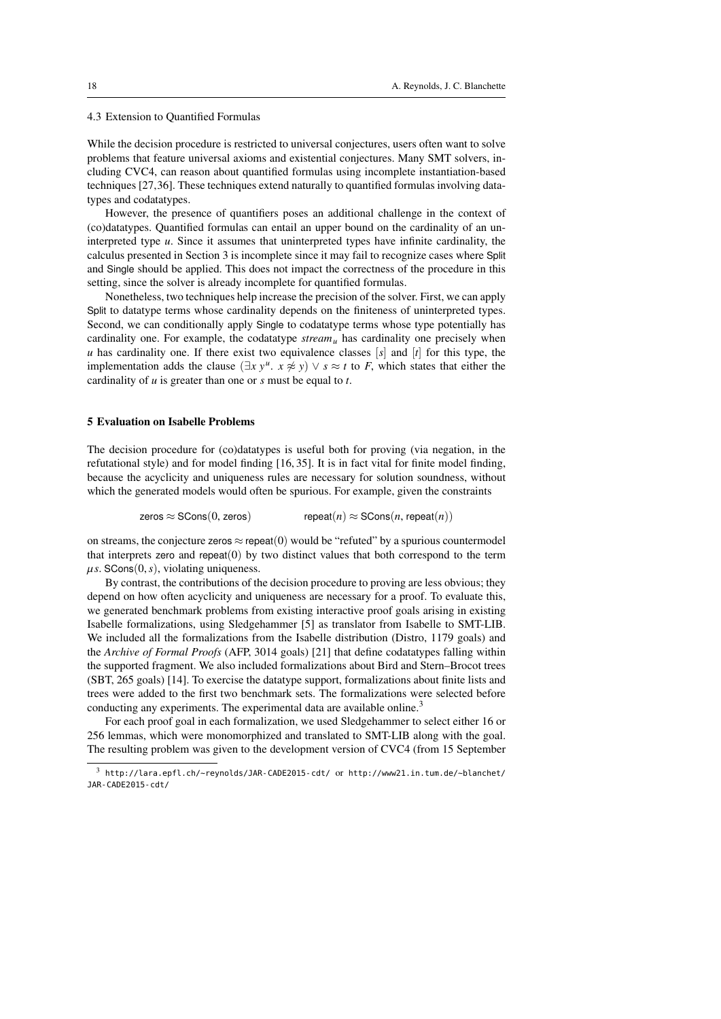4.3 Extension to Quantified Formulas

While the decision procedure is restricted to universal conjectures, users often want to solve problems that feature universal axioms and existential conjectures. Many SMT solvers, including CVC4, can reason about quantified formulas using incomplete instantiation-based techniques [\[27,](#page-20-24)[36\]](#page-20-25). These techniques extend naturally to quantified formulas involving datatypes and codatatypes.

However, the presence of quantifiers poses an additional challenge in the context of (co)datatypes. Quantified formulas can entail an upper bound on the cardinality of an uninterpreted type *<sup>u</sup>*. Since it assumes that uninterpreted types have infinite cardinality, the calculus presented in Section [3](#page-5-0) is incomplete since it may fail to recognize cases where Split and Single should be applied. This does not impact the correctness of the procedure in this setting, since the solver is already incomplete for quantified formulas.

Nonetheless, two techniques help increase the precision of the solver. First, we can apply Split to datatype terms whose cardinality depends on the finiteness of uninterpreted types. Second, we can conditionally apply Single to codatatype terms whose type potentially has cardinality one. For example, the codatatype  $stream<sub>u</sub>$  has cardinality one precisely when *u* has cardinality one. If there exist two equivalence classes  $[s]$  and  $[t]$  for this type, the implementation adds the clause  $(\exists x y^u, x \neq y) \lor s \approx t$  to *F*, which states that either the equality of *u* is greater than one or s must be equal to *t*. cardinality of *<sup>u</sup>* is greater than one or *<sup>s</sup>* must be equal to *<sup>t</sup>*.

## <span id="page-17-0"></span>5 Evaluation on Isabelle Problems

The decision procedure for (co)datatypes is useful both for proving (via negation, in the refutational style) and for model finding [\[16,](#page-20-26) [35\]](#page-20-27). It is in fact vital for finite model finding, because the acyclicity and uniqueness rules are necessary for solution soundness, without which the generated models would often be spurious. For example, given the constraints

 $\mathsf{zeros} \approx \mathsf{SCons}(0, \mathsf{zeros})$  repeat $(n) \approx \mathsf{SCons}(n, \mathsf{repeat}(n))$ 

on streams, the conjecture zeros  $\approx$  repeat(0) would be "refuted" by a spurious countermodel that interprets zero and repeat $(0)$  by two distinct values that both correspond to the term  $\mu$ *s*. SCons $(0, s)$ , violating uniqueness.

By contrast, the contributions of the decision procedure to proving are less obvious; they depend on how often acyclicity and uniqueness are necessary for a proof. To evaluate this, we generated benchmark problems from existing interactive proof goals arising in existing Isabelle formalizations, using Sledgehammer [\[5\]](#page-19-3) as translator from Isabelle to SMT-LIB. We included all the formalizations from the Isabelle distribution (Distro, 1179 goals) and the *Archive of Formal Proofs* (AFP, 3014 goals) [\[21\]](#page-20-28) that define codatatypes falling within the supported fragment. We also included formalizations about Bird and Stern–Brocot trees (SBT, 265 goals) [\[14\]](#page-20-29). To exercise the datatype support, formalizations about finite lists and trees were added to the first two benchmark sets. The formalizations were selected before conducting any experiments. The experimental data are available online.<sup>[3](#page-17-1)</sup>

For each proof goal in each formalization, we used Sledgehammer to select either 16 or 256 lemmas, which were monomorphized and translated to SMT-LIB along with the goal. The resulting problem was given to the development version of CVC4 (from 15 September

<span id="page-17-1"></span><sup>3</sup> <http://lara.epfl.ch/~reynolds/JAR-CADE2015-cdt/> or [http://www21.in.tum.de/~blanchet/](http://www21.in.tum.de/~blanchet/JAR-CADE2015-cdt/) [JAR-CADE2015-cdt/](http://www21.in.tum.de/~blanchet/JAR-CADE2015-cdt/)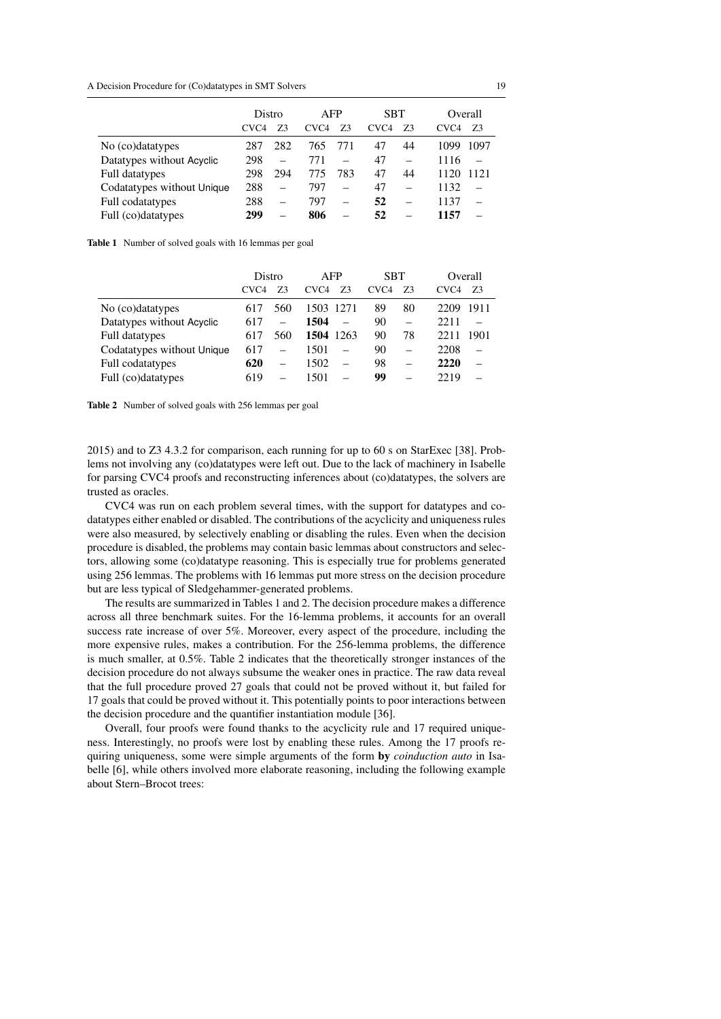A Decision Procedure for (Co)datatypes in SMT Solvers 19

|                            | Distro<br>CVC4 | 73  | AFP<br>CVC4 | 73  | <b>SBT</b><br>CVC <sub>4</sub> | 73 | Overall<br>CVC <sub>4</sub> | 73   |
|----------------------------|----------------|-----|-------------|-----|--------------------------------|----|-----------------------------|------|
| No (co)datatypes           | 287            | 282 | 765         | 771 | 47                             | 44 | 1099                        | 1097 |
| Datatypes without Acyclic  | 298            |     | 771         |     | 47                             |    | 1116                        |      |
| Full datatypes             | 298            | 294 | 775         | 783 | 47                             | 44 | 1120                        | 1121 |
| Codatatypes without Unique | 288            |     | 797         |     | 47                             |    | 1132                        |      |
| Full codatatypes           | 288            |     | 797         |     | 52                             |    | 1137                        |      |
| Full (co)datatypes         | 299            |     | 806         |     | 52                             |    | 1157                        |      |

<span id="page-18-0"></span>Table 1 Number of solved goals with 16 lemmas per goal

|                            | Distro           |     | AFP                    | <b>SBT</b>       |    | Overall                |  |
|----------------------------|------------------|-----|------------------------|------------------|----|------------------------|--|
|                            | CVC <sub>4</sub> | Z3  | CVC <sub>4</sub><br>73 | CVC <sub>4</sub> | 73 | 73<br>CVC <sub>4</sub> |  |
| No (co)datatypes           | 617              | 560 | 1503 1271              | 89               | 80 | 1911<br>2209           |  |
| Datatypes without Acyclic  | 617              |     | 1504                   | 90               |    | 2211                   |  |
| Full datatypes             | 617              | 560 | 1504 1263              | 90               | 78 | 1901<br>2211           |  |
| Codatatypes without Unique | 617              |     | 1501                   | 90               |    | 2208                   |  |
| Full codatatypes           | 620              |     | 1502                   | 98               |    | 2220                   |  |
| Full (co)datatypes         | 619              |     | 1501                   | 99               |    | 2219                   |  |

<span id="page-18-1"></span>Table 2 Number of solved goals with 256 lemmas per goal

2015) and to Z3 4.3.2 for comparison, each running for up to 60 s on StarExec [\[38\]](#page-21-4). Problems not involving any (co)datatypes were left out. Due to the lack of machinery in Isabelle for parsing CVC4 proofs and reconstructing inferences about (co)datatypes, the solvers are trusted as oracles.

CVC4 was run on each problem several times, with the support for datatypes and codatatypes either enabled or disabled. The contributions of the acyclicity and uniqueness rules were also measured, by selectively enabling or disabling the rules. Even when the decision procedure is disabled, the problems may contain basic lemmas about constructors and selectors, allowing some (co)datatype reasoning. This is especially true for problems generated using 256 lemmas. The problems with 16 lemmas put more stress on the decision procedure but are less typical of Sledgehammer-generated problems.

The results are summarized in Tables [1](#page-18-0) and [2.](#page-18-1) The decision procedure makes a difference across all three benchmark suites. For the 16-lemma problems, it accounts for an overall success rate increase of over 5%. Moreover, every aspect of the procedure, including the more expensive rules, makes a contribution. For the 256-lemma problems, the difference is much smaller, at 0.5%. Table [2](#page-18-1) indicates that the theoretically stronger instances of the decision procedure do not always subsume the weaker ones in practice. The raw data reveal that the full procedure proved 27 goals that could not be proved without it, but failed for 17 goals that could be proved without it. This potentially points to poor interactions between the decision procedure and the quantifier instantiation module [\[36\]](#page-20-25).

Overall, four proofs were found thanks to the acyclicity rule and 17 required uniqueness. Interestingly, no proofs were lost by enabling these rules. Among the 17 proofs requiring uniqueness, some were simple arguments of the form by *coinduction auto* in Isabelle [\[6\]](#page-19-5), while others involved more elaborate reasoning, including the following example about Stern–Brocot trees: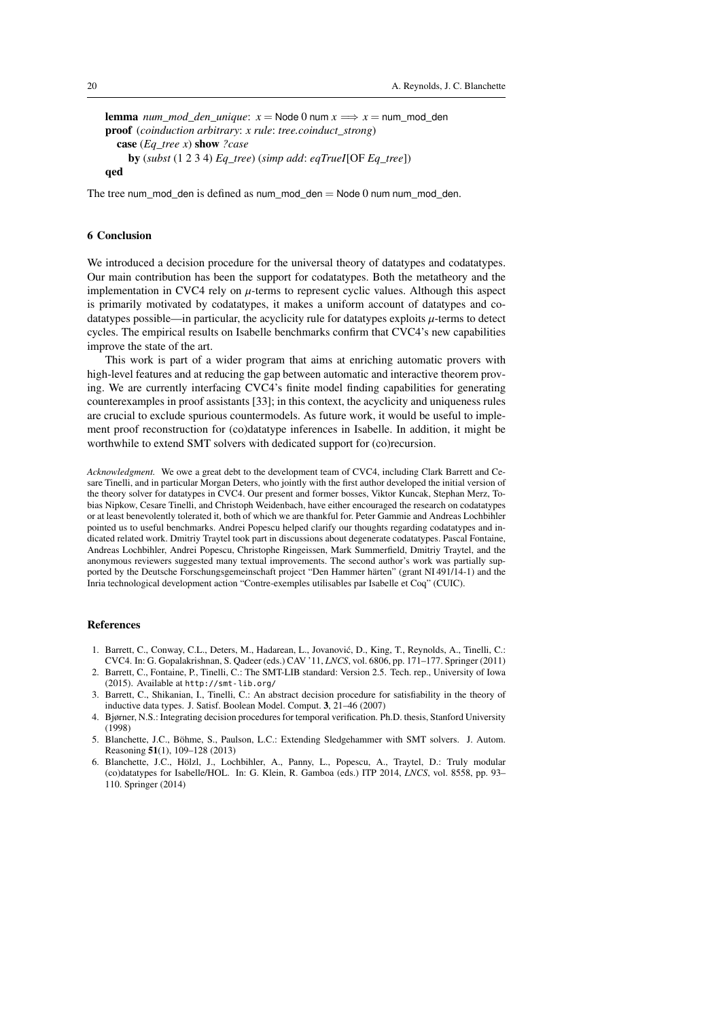```
lemma num\_mod\_den\_unique: x = Node0 num x \implies x = num\_mod\_denproof (coinduction arbitrary: x rule: tree.coinduct_strong)
  case (Eq_tree x) show ?case
    by (subst (1 2 3 4) Eq_tree) (simp add: eqTrueI[OF Eq_tree])
qed
```
The tree num\_mod\_den is defined as num\_mod\_den = Node 0 num num\_mod\_den.

# 6 Conclusion

We introduced a decision procedure for the universal theory of datatypes and codatatypes. Our main contribution has been the support for codatatypes. Both the metatheory and the implementation in CVC4 rely on  $\mu$ -terms to represent cyclic values. Although this aspect is primarily motivated by codatatypes, it makes a uniform account of datatypes and codatatypes possible—in particular, the acyclicity rule for datatypes exploits  $\mu$ -terms to detect cycles. The empirical results on Isabelle benchmarks confirm that CVC4's new capabilities improve the state of the art.

This work is part of a wider program that aims at enriching automatic provers with high-level features and at reducing the gap between automatic and interactive theorem proving. We are currently interfacing CVC4's finite model finding capabilities for generating counterexamples in proof assistants [\[33\]](#page-20-30); in this context, the acyclicity and uniqueness rules are crucial to exclude spurious countermodels. As future work, it would be useful to implement proof reconstruction for (co)datatype inferences in Isabelle. In addition, it might be worthwhile to extend SMT solvers with dedicated support for (co)recursion.

*Acknowledgment.* We owe a great debt to the development team of CVC4, including Clark Barrett and Cesare Tinelli, and in particular Morgan Deters, who jointly with the first author developed the initial version of the theory solver for datatypes in CVC4. Our present and former bosses, Viktor Kuncak, Stephan Merz, Tobias Nipkow, Cesare Tinelli, and Christoph Weidenbach, have either encouraged the research on codatatypes or at least benevolently tolerated it, both of which we are thankful for. Peter Gammie and Andreas Lochbihler pointed us to useful benchmarks. Andrei Popescu helped clarify our thoughts regarding codatatypes and indicated related work. Dmitriy Traytel took part in discussions about degenerate codatatypes. Pascal Fontaine, Andreas Lochbihler, Andrei Popescu, Christophe Ringeissen, Mark Summerfield, Dmitriy Traytel, and the anonymous reviewers suggested many textual improvements. The second author's work was partially supported by the Deutsche Forschungsgemeinschaft project "Den Hammer härten" (grant NI 491/14-1) and the Inria technological development action "Contre-exemples utilisables par Isabelle et Coq" (CUIC).

#### References

- <span id="page-19-2"></span>1. Barrett, C., Conway, C.L., Deters, M., Hadarean, L., Jovanovic, D., King, T., Reynolds, A., Tinelli, C.: ´ CVC4. In: G. Gopalakrishnan, S. Qadeer (eds.) CAV '11, *LNCS*, vol. 6806, pp. 171–177. Springer (2011)
- <span id="page-19-0"></span>2. Barrett, C., Fontaine, P., Tinelli, C.: The SMT-LIB standard: Version 2.5. Tech. rep., University of Iowa (2015). Available at <http://smt-lib.org/>
- <span id="page-19-1"></span>3. Barrett, C., Shikanian, I., Tinelli, C.: An abstract decision procedure for satisfiability in the theory of inductive data types. J. Satisf. Boolean Model. Comput. 3, 21–46 (2007)
- <span id="page-19-4"></span>4. Bjørner, N.S.: Integrating decision procedures for temporal verification. Ph.D. thesis, Stanford University (1998)
- <span id="page-19-3"></span>5. Blanchette, J.C., Böhme, S., Paulson, L.C.: Extending Sledgehammer with SMT solvers. J. Autom. Reasoning 51(1), 109–128 (2013)
- <span id="page-19-5"></span>6. Blanchette, J.C., Hölzl, J., Lochbihler, A., Panny, L., Popescu, A., Traytel, D.: Truly modular (co)datatypes for Isabelle/HOL. In: G. Klein, R. Gamboa (eds.) ITP 2014, *LNCS*, vol. 8558, pp. 93– 110. Springer (2014)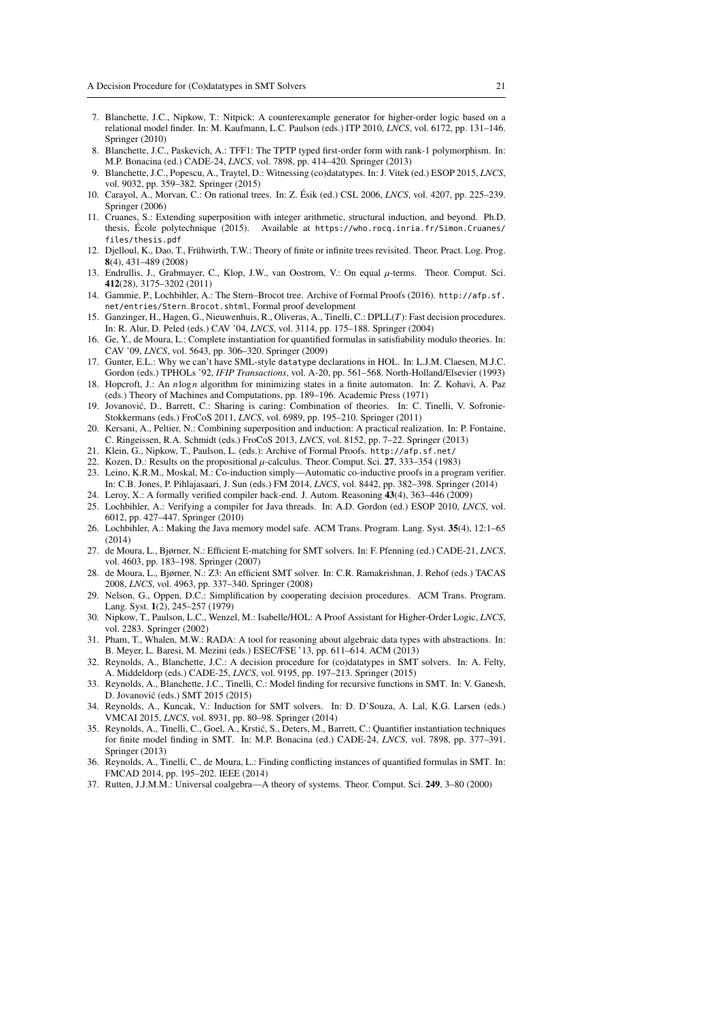- <span id="page-20-13"></span>7. Blanchette, J.C., Nipkow, T.: Nitpick: A counterexample generator for higher-order logic based on a relational model finder. In: M. Kaufmann, L.C. Paulson (eds.) ITP 2010, *LNCS*, vol. 6172, pp. 131–146. Springer (2010)
- <span id="page-20-18"></span>8. Blanchette, J.C., Paskevich, A.: TFF1: The TPTP typed first-order form with rank-1 polymorphism. In: M.P. Bonacina (ed.) CADE-24, *LNCS*, vol. 7898, pp. 414–420. Springer (2013)
- <span id="page-20-4"></span>9. Blanchette, J.C., Popescu, A., Traytel, D.: Witnessing (co)datatypes. In: J. Vitek (ed.) ESOP 2015, *LNCS*, vol. 9032, pp. 359–382. Springer (2015)
- <span id="page-20-14"></span>10. Carayol, A., Morvan, C.: On rational trees. In: Z. Ésik (ed.) CSL 2006, *LNCS*, vol. 4207, pp. 225–239. Springer (2006)
- <span id="page-20-9"></span>11. Cruanes, S.: Extending superposition with integer arithmetic, structural induction, and beyond. Ph.D. thesis, École polytechnique (2015). Available at [https://who.rocq.inria.fr/Simon.Cruanes/](https://who.rocq.inria.fr/Simon.Cruanes/files/thesis.pdf) [files/thesis.pdf](https://who.rocq.inria.fr/Simon.Cruanes/files/thesis.pdf)
- <span id="page-20-15"></span>12. Djelloul, K., Dao, T., Frühwirth, T.W.: Theory of finite or infinite trees revisited. Theor. Pract. Log. Prog. 8(4), 431–489 (2008)
- <span id="page-20-16"></span>13. Endrullis, J., Grabmayer, C., Klop, J.W., van Oostrom, V.: On equal µ-terms. Theor. Comput. Sci. 412(28), 3175–3202 (2011)
- <span id="page-20-29"></span>14. Gammie, P., Lochbihler, A.: The Stern–Brocot tree. Archive of Formal Proofs (2016). [http://afp.sf.](http://afp.sf.net/entries/Stern_Brocot.shtml) [net/entries/Stern\\_Brocot.shtml](http://afp.sf.net/entries/Stern_Brocot.shtml), Formal proof development
- <span id="page-20-21"></span>15. Ganzinger, H., Hagen, G., Nieuwenhuis, R., Oliveras, A., Tinelli, C.: DPLL(*T*): Fast decision procedures. In: R. Alur, D. Peled (eds.) CAV '04, *LNCS*, vol. 3114, pp. 175–188. Springer (2004)
- <span id="page-20-26"></span>16. Ge, Y., de Moura, L.: Complete instantiation for quantified formulas in satisfiability modulo theories. In: CAV '09, *LNCS*, vol. 5643, pp. 306–320. Springer (2009)
- <span id="page-20-19"></span>17. Gunter, E.L.: Why we can't have SML-style datatype declarations in HOL. In: L.J.M. Claesen, M.J.C. Gordon (eds.) TPHOLs '92, *IFIP Transactions*, vol. A-20, pp. 561–568. North-Holland/Elsevier (1993)
- <span id="page-20-23"></span>18. Hopcroft, J.: An *n*log*n* algorithm for minimizing states in a finite automaton. In: Z. Kohavi, A. Paz (eds.) Theory of Machines and Computations, pp. 189–196. Academic Press (1971)
- <span id="page-20-22"></span>19. Jovanovic, D., Barrett, C.: Sharing is caring: Combination of theories. In: C. Tinelli, V. Sofronie- ´ Stokkermans (eds.) FroCoS 2011, *LNCS*, vol. 6989, pp. 195–210. Springer (2011)
- <span id="page-20-10"></span>20. Kersani, A., Peltier, N.: Combining superposition and induction: A practical realization. In: P. Fontaine, C. Ringeissen, R.A. Schmidt (eds.) FroCoS 2013, *LNCS*, vol. 8152, pp. 7–22. Springer (2013)
- <span id="page-20-28"></span>21. Klein, G., Nipkow, T., Paulson, L. (eds.): Archive of Formal Proofs. <http://afp.sf.net/>
- <span id="page-20-17"></span>22. Kozen, D.: Results on the propositional  $\mu$ -calculus. Theor. Comput. Sci. 27, 333-354 (1983)
- <span id="page-20-11"></span>23. Leino, K.R.M., Moskal, M.: Co-induction simply—Automatic co-inductive proofs in a program verifier. In: C.B. Jones, P. Pihlajasaari, J. Sun (eds.) FM 2014, *LNCS*, vol. 8442, pp. 382–398. Springer (2014) 24. Leroy, X.: A formally verified compiler back-end. J. Autom. Reasoning 43(4), 363–446 (2009)
- <span id="page-20-1"></span><span id="page-20-0"></span>25. Lochbihler, A.: Verifying a compiler for Java threads. In: A.D. Gordon (ed.) ESOP 2010, *LNCS*, vol. 6012, pp. 427–447. Springer (2010)
- <span id="page-20-2"></span>26. Lochbihler, A.: Making the Java memory model safe. ACM Trans. Program. Lang. Syst. 35(4), 12:1–65 (2014)
- <span id="page-20-24"></span>27. de Moura, L., Bjørner, N.: Efficient E-matching for SMT solvers. In: F. Pfenning (ed.) CADE-21, *LNCS*, vol. 4603, pp. 183–198. Springer (2007)
- <span id="page-20-7"></span>28. de Moura, L., Bjørner, N.: Z3: An efficient SMT solver. In: C.R. Ramakrishnan, J. Rehof (eds.) TACAS 2008, *LNCS*, vol. 4963, pp. 337–340. Springer (2008)
- <span id="page-20-3"></span>29. Nelson, G., Oppen, D.C.: Simplification by cooperating decision procedures. ACM Trans. Program. Lang. Syst. 1(2), 245–257 (1979)
- <span id="page-20-5"></span>30. Nipkow, T., Paulson, L.C., Wenzel, M.: Isabelle/HOL: A Proof Assistant for Higher-Order Logic, *LNCS*, vol. 2283. Springer (2002)
- <span id="page-20-12"></span>31. Pham, T., Whalen, M.W.: RADA: A tool for reasoning about algebraic data types with abstractions. In: B. Meyer, L. Baresi, M. Mezini (eds.) ESEC/FSE '13, pp. 611–614. ACM (2013)
- <span id="page-20-6"></span>32. Reynolds, A., Blanchette, J.C.: A decision procedure for (co)datatypes in SMT solvers. In: A. Felty, A. Middeldorp (eds.) CADE-25, *LNCS*, vol. 9195, pp. 197–213. Springer (2015)
- <span id="page-20-30"></span>33. Reynolds, A., Blanchette, J.C., Tinelli, C.: Model finding for recursive functions in SMT. In: V. Ganesh, D. Jovanovic (eds.) SMT 2015 (2015) ´
- <span id="page-20-8"></span>34. Reynolds, A., Kuncak, V.: Induction for SMT solvers. In: D. D'Souza, A. Lal, K.G. Larsen (eds.) VMCAI 2015, *LNCS*, vol. 8931, pp. 80–98. Springer (2014)
- <span id="page-20-27"></span>35. Reynolds, A., Tinelli, C., Goel, A., Krstic, S., Deters, M., Barrett, C.: Quantifier instantiation techniques ´ for finite model finding in SMT. In: M.P. Bonacina (ed.) CADE-24, *LNCS*, vol. 7898, pp. 377–391. Springer (2013)
- <span id="page-20-25"></span>36. Reynolds, A., Tinelli, C., de Moura, L.: Finding conflicting instances of quantified formulas in SMT. In: FMCAD 2014, pp. 195–202. IEEE (2014)
- <span id="page-20-20"></span>37. Rutten, J.J.M.M.: Universal coalgebra—A theory of systems. Theor. Comput. Sci. 249, 3–80 (2000)